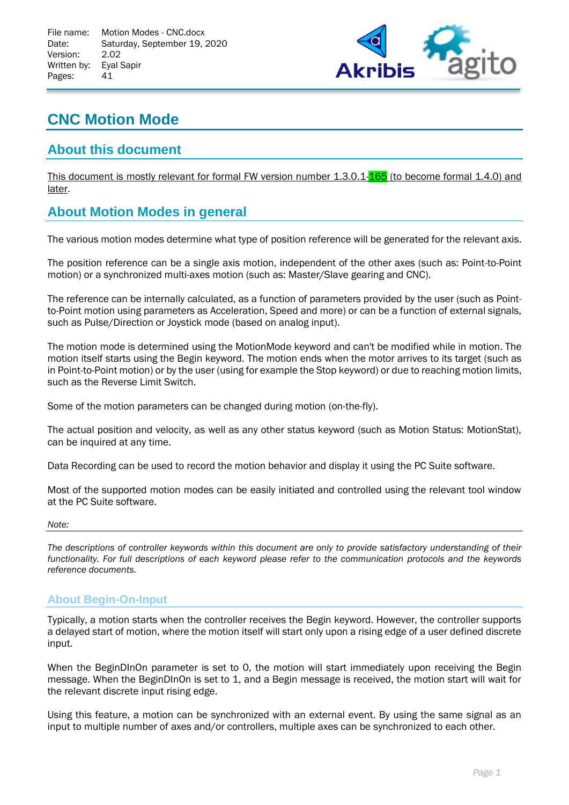

# **CNC Motion Mode**

# **About this document**

This document is mostly relevant for formal FW version number 1.3.0.1-165 (to become formal 1.4.0) and later.

# **About Motion Modes in general**

The various motion modes determine what type of position reference will be generated for the relevant axis.

The position reference can be a single axis motion, independent of the other axes (such as: Point-to-Point motion) or a synchronized multi-axes motion (such as: Master/Slave gearing and CNC).

The reference can be internally calculated, as a function of parameters provided by the user (such as Pointto-Point motion using parameters as Acceleration, Speed and more) or can be a function of external signals, such as Pulse/Direction or Joystick mode (based on analog input).

The motion mode is determined using the MotionMode keyword and can't be modified while in motion. The motion itself starts using the Begin keyword. The motion ends when the motor arrives to its target (such as in Point-to-Point motion) or by the user (using for example the Stop keyword) or due to reaching motion limits, such as the Reverse Limit Switch.

Some of the motion parameters can be changed during motion (on-the-fly).

The actual position and velocity, as well as any other status keyword (such as Motion Status: MotionStat), can be inquired at any time.

Data Recording can be used to record the motion behavior and display it using the PC Suite software.

Most of the supported motion modes can be easily initiated and controlled using the relevant tool window at the PC Suite software.

#### *Note:*

*The descriptions of controller keywords within this document are only to provide satisfactory understanding of their functionality. For full descriptions of each keyword please refer to the communication protocols and the keywords reference documents.*

## **About Begin-On-Input**

Typically, a motion starts when the controller receives the Begin keyword. However, the controller supports a delayed start of motion, where the motion itself will start only upon a rising edge of a user defined discrete input.

When the BeginDInOn parameter is set to 0, the motion will start immediately upon receiving the Begin message. When the BeginDInOn is set to 1, and a Begin message is received, the motion start will wait for the relevant discrete input rising edge.

Using this feature, a motion can be synchronized with an external event. By using the same signal as an input to multiple number of axes and/or controllers, multiple axes can be synchronized to each other.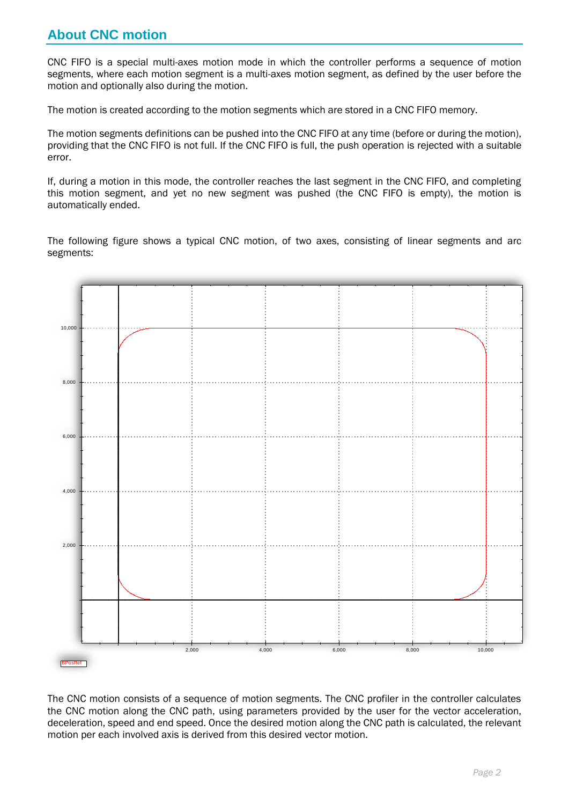# **About CNC motion**

CNC FIFO is a special multi-axes motion mode in which the controller performs a sequence of motion segments, where each motion segment is a multi-axes motion segment, as defined by the user before the motion and optionally also during the motion.

The motion is created according to the motion segments which are stored in a CNC FIFO memory.

The motion segments definitions can be pushed into the CNC FIFO at any time (before or during the motion), providing that the CNC FIFO is not full. If the CNC FIFO is full, the push operation is rejected with a suitable error.

If, during a motion in this mode, the controller reaches the last segment in the CNC FIFO, and completing this motion segment, and yet no new segment was pushed (the CNC FIFO is empty), the motion is automatically ended.

The following figure shows a typical CNC motion, of two axes, consisting of linear segments and arc segments:



The CNC motion consists of a sequence of motion segments. The CNC profiler in the controller calculates the CNC motion along the CNC path, using parameters provided by the user for the vector acceleration, deceleration, speed and end speed. Once the desired motion along the CNC path is calculated, the relevant motion per each involved axis is derived from this desired vector motion.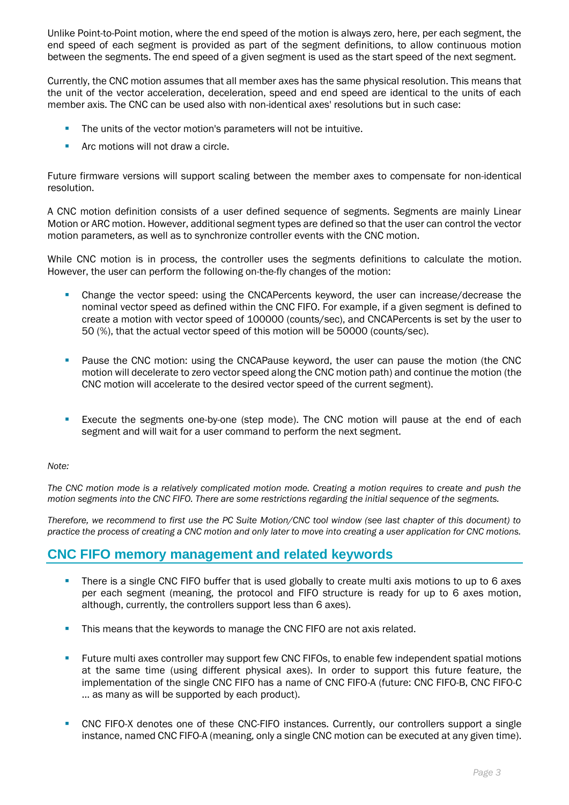Unlike Point-to-Point motion, where the end speed of the motion is always zero, here, per each segment, the end speed of each segment is provided as part of the segment definitions, to allow continuous motion between the segments. The end speed of a given segment is used as the start speed of the next segment.

Currently, the CNC motion assumes that all member axes has the same physical resolution. This means that the unit of the vector acceleration, deceleration, speed and end speed are identical to the units of each member axis. The CNC can be used also with non-identical axes' resolutions but in such case:

- The units of the vector motion's parameters will not be intuitive.
- Arc motions will not draw a circle.

Future firmware versions will support scaling between the member axes to compensate for non-identical resolution.

A CNC motion definition consists of a user defined sequence of segments. Segments are mainly Linear Motion or ARC motion. However, additional segment types are defined so that the user can control the vector motion parameters, as well as to synchronize controller events with the CNC motion.

While CNC motion is in process, the controller uses the segments definitions to calculate the motion. However, the user can perform the following on-the-fly changes of the motion:

- Change the vector speed: using the CNCAPercents keyword, the user can increase/decrease the nominal vector speed as defined within the CNC FIFO. For example, if a given segment is defined to create a motion with vector speed of 100000 (counts/sec), and CNCAPercents is set by the user to 50 (%), that the actual vector speed of this motion will be 50000 (counts/sec).
- **•** Pause the CNC motion: using the CNCAPause keyword, the user can pause the motion (the CNC motion will decelerate to zero vector speed along the CNC motion path) and continue the motion (the CNC motion will accelerate to the desired vector speed of the current segment).
- **EXECUTE THE SEGUTE SEGUTE:** Execute the segments one-by-one (step mode). The CNC motion will pause at the end of each segment and will wait for a user command to perform the next segment.

#### *Note:*

*The CNC motion mode is a relatively complicated motion mode. Creating a motion requires to create and push the motion segments into the CNC FIFO. There are some restrictions regarding the initial sequence of the segments.*

*Therefore, we recommend to first use the PC Suite Motion/CNC tool window (see last chapter of this document) to practice the process of creating a CNC motion and only later to move into creating a user application for CNC motions.*

## **CNC FIFO memory management and related keywords**

- **•** There is a single CNC FIFO buffer that is used globally to create multi axis motions to up to 6 axes per each segment (meaning, the protocol and FIFO structure is ready for up to 6 axes motion, although, currently, the controllers support less than 6 axes).
- **.** This means that the keywords to manage the CNC FIFO are not axis related.
- **EXECT:** Future multi axes controller may support few CNC FIFOs, to enable few independent spatial motions at the same time (using different physical axes). In order to support this future feature, the implementation of the single CNC FIFO has a name of CNC FIFO-A (future: CNC FIFO-B, CNC FIFO-C … as many as will be supported by each product).
- **CNC FIFO-X denotes one of these CNC-FIFO instances. Currently, our controllers support a single** instance, named CNC FIFO-A (meaning, only a single CNC motion can be executed at any given time).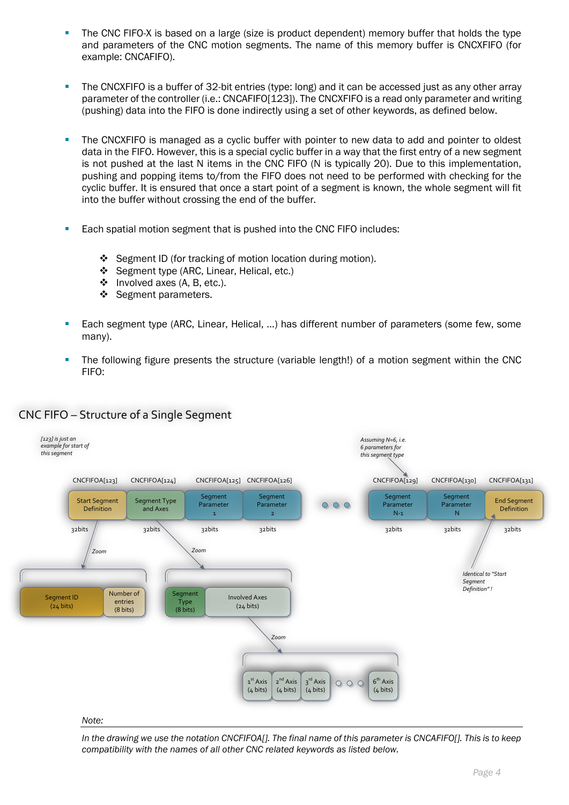- **•** The CNC FIFO-X is based on a large (size is product dependent) memory buffer that holds the type and parameters of the CNC motion segments. The name of this memory buffer is CNCXFIFO (for example: CNCAFIFO).
- **•** The CNCXFIFO is a buffer of 32-bit entries (type: long) and it can be accessed just as any other array parameter of the controller (i.e.: CNCAFIFO[123]). The CNCXFIFO is a read only parameter and writing (pushing) data into the FIFO is done indirectly using a set of other keywords, as defined below.
- The CNCXFIFO is managed as a cyclic buffer with pointer to new data to add and pointer to oldest data in the FIFO. However, this is a special cyclic buffer in a way that the first entry of a new segment is not pushed at the last N items in the CNC FIFO (N is typically 20). Due to this implementation, pushing and popping items to/from the FIFO does not need to be performed with checking for the cyclic buffer. It is ensured that once a start point of a segment is known, the whole segment will fit into the buffer without crossing the end of the buffer.
- Each spatial motion segment that is pushed into the CNC FIFO includes:
	- ❖ Segment ID (for tracking of motion location during motion).
	- ❖ Segment type (ARC, Linear, Helical, etc.)
	- ❖ Involved axes (A, B, etc.).
	- ❖ Segment parameters.
- Each segment type (ARC, Linear, Helical, ...) has different number of parameters (some few, some many).
- The following figure presents the structure (variable length!) of a motion segment within the CNC FIFO:



## CNC FIFO – Structure of a Single Segment

In the drawing we use the notation CNCFIFOA[]. The final name of this parameter is CNCAFIFO[]. This is to keep *compatibility with the names of all other CNC related keywords as listed below.*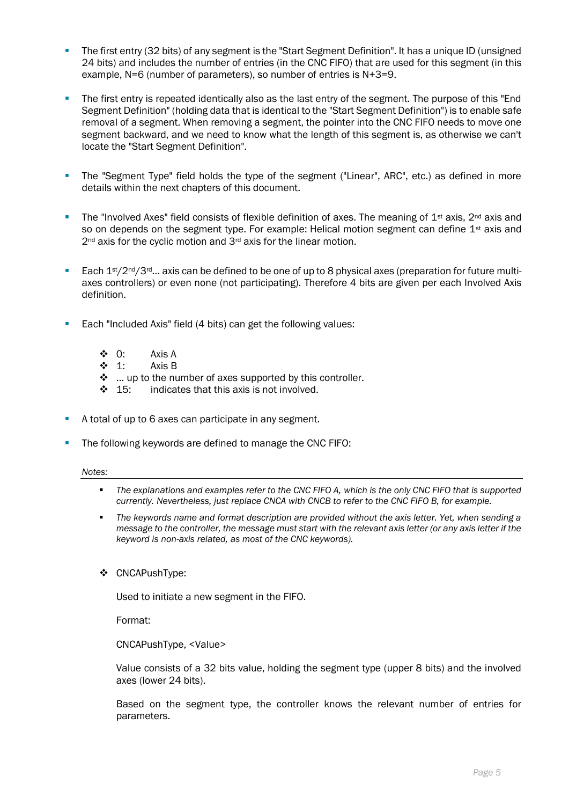- **•** The first entry (32 bits) of any segment is the "Start Segment Definition". It has a unique ID (unsigned 24 bits) and includes the number of entries (in the CNC FIFO) that are used for this segment (in this example, N=6 (number of parameters), so number of entries is N+3=9.
- **•** The first entry is repeated identically also as the last entry of the segment. The purpose of this "End" Segment Definition" (holding data that is identical to the "Start Segment Definition") is to enable safe removal of a segment. When removing a segment, the pointer into the CNC FIFO needs to move one segment backward, and we need to know what the length of this segment is, as otherwise we can't locate the "Start Segment Definition".
- The "Segment Type" field holds the type of the segment ("Linear", ARC", etc.) as defined in more details within the next chapters of this document.
- **•** The "Involved Axes" field consists of flexible definition of axes. The meaning of  $1<sup>st</sup>$  axis,  $2<sup>nd</sup>$  axis and so on depends on the segment type. For example: Helical motion segment can define  $1<sup>st</sup>$  axis and 2<sup>nd</sup> axis for the cyclic motion and 3<sup>rd</sup> axis for the linear motion.
- **Each 1st/2nd/3rd...** axis can be defined to be one of up to 8 physical axes (preparation for future multiaxes controllers) or even none (not participating). Therefore 4 bits are given per each Involved Axis definition.
- Each "Included Axis" field (4 bits) can get the following values:
	- ❖ 0: Axis A
	- ❖ 1: Axis B
	- ❖ … up to the number of axes supported by this controller.
	- ❖ 15: indicates that this axis is not involved.
- A total of up to 6 axes can participate in any segment.
- The following keywords are defined to manage the CNC FIFO:

#### *Notes:*

- *The explanations and examples refer to the CNC FIFO A, which is the only CNC FIFO that is supported currently. Nevertheless, just replace CNCA with CNCB to refer to the CNC FIFO B, for example.*
- The keywords name and format description are provided without the axis letter. Yet, when sending a *message to the controller, the message must start with the relevant axis letter (or any axis letter if the keyword is non-axis related, as most of the CNC keywords).*
- ❖ CNCAPushType:

Used to initiate a new segment in the FIFO.

Format:

CNCAPushType, <Value>

Value consists of a 32 bits value, holding the segment type (upper 8 bits) and the involved axes (lower 24 bits).

Based on the segment type, the controller knows the relevant number of entries for parameters.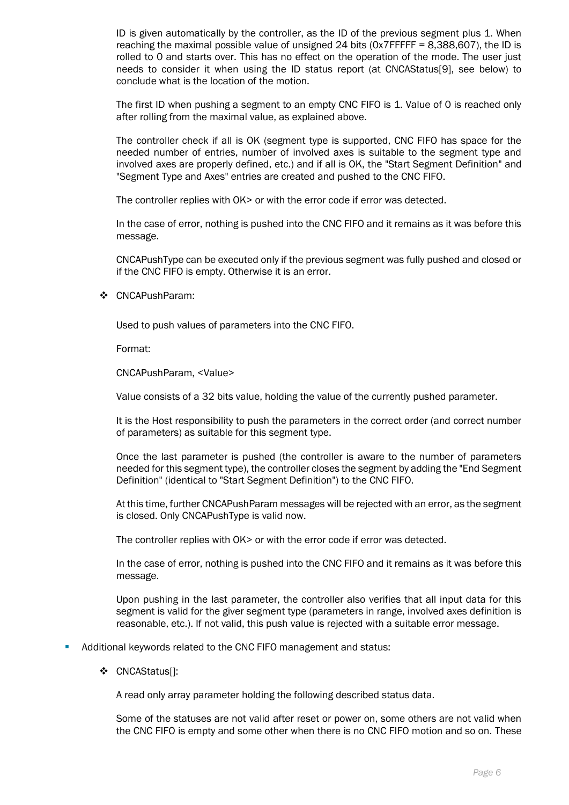ID is given automatically by the controller, as the ID of the previous segment plus 1. When reaching the maximal possible value of unsigned 24 bits (0x7FFFFF = 8,388,607), the ID is rolled to 0 and starts over. This has no effect on the operation of the mode. The user just needs to consider it when using the ID status report (at CNCAStatus[9], see below) to conclude what is the location of the motion.

The first ID when pushing a segment to an empty CNC FIFO is 1. Value of 0 is reached only after rolling from the maximal value, as explained above.

The controller check if all is OK (segment type is supported, CNC FIFO has space for the needed number of entries, number of involved axes is suitable to the segment type and involved axes are properly defined, etc.) and if all is OK, the "Start Segment Definition" and "Segment Type and Axes" entries are created and pushed to the CNC FIFO.

The controller replies with OK> or with the error code if error was detected.

In the case of error, nothing is pushed into the CNC FIFO and it remains as it was before this message.

CNCAPushType can be executed only if the previous segment was fully pushed and closed or if the CNC FIFO is empty. Otherwise it is an error.

❖ CNCAPushParam:

Used to push values of parameters into the CNC FIFO.

Format:

CNCAPushParam, <Value>

Value consists of a 32 bits value, holding the value of the currently pushed parameter.

It is the Host responsibility to push the parameters in the correct order (and correct number of parameters) as suitable for this segment type.

Once the last parameter is pushed (the controller is aware to the number of parameters needed for this segment type), the controller closes the segment by adding the "End Segment Definition" (identical to "Start Segment Definition") to the CNC FIFO.

At this time, further CNCAPushParam messages will be rejected with an error, as the segment is closed. Only CNCAPushType is valid now.

The controller replies with OK> or with the error code if error was detected.

In the case of error, nothing is pushed into the CNC FIFO and it remains as it was before this message.

Upon pushing in the last parameter, the controller also verifies that all input data for this segment is valid for the giver segment type (parameters in range, involved axes definition is reasonable, etc.). If not valid, this push value is rejected with a suitable error message.

Additional keywords related to the CNC FIFO management and status:

❖ CNCAStatus[]:

A read only array parameter holding the following described status data.

Some of the statuses are not valid after reset or power on, some others are not valid when the CNC FIFO is empty and some other when there is no CNC FIFO motion and so on. These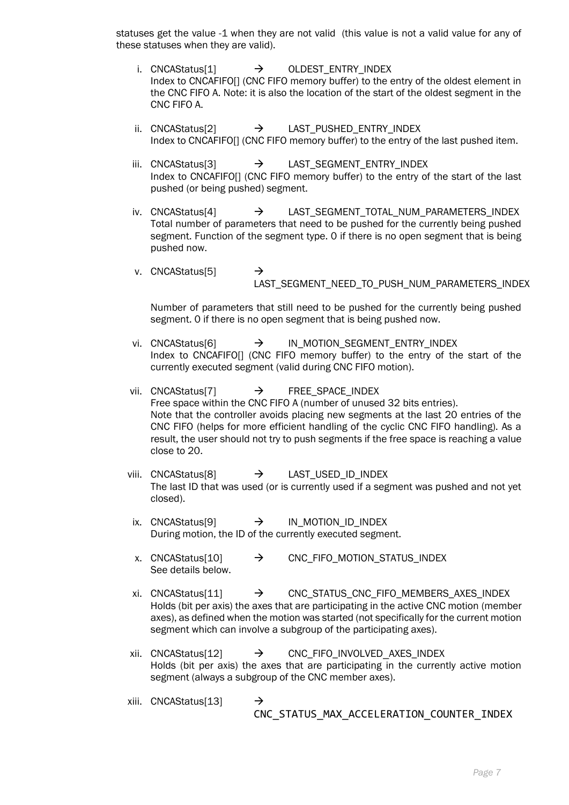statuses get the value -1 when they are not valid (this value is not a valid value for any of these statuses when they are valid).

- i. CNCAStatus[1]  $\rightarrow$  OLDEST ENTRY INDEX Index to CNCAFIFO[] (CNC FIFO memory buffer) to the entry of the oldest element in the CNC FIFO A. Note: it is also the location of the start of the oldest segment in the CNC FIFO A.
- ii. CNCAStatus<sup>[2]</sup>  $\rightarrow$  LAST PUSHED ENTRY INDEX Index to CNCAFIFO[] (CNC FIFO memory buffer) to the entry of the last pushed item.
- iii. CNCAStatus[3]  $\rightarrow$  LAST SEGMENT ENTRY INDEX Index to CNCAFIFO[] (CNC FIFO memory buffer) to the entry of the start of the last pushed (or being pushed) segment.
- iv. CNCAStatus[4]  $\rightarrow$  LAST SEGMENT TOTAL NUM PARAMETERS INDEX Total number of parameters that need to be pushed for the currently being pushed segment. Function of the segment type. 0 if there is no open segment that is being pushed now.
- v. CNCAStatus[5]  $\rightarrow$ LAST\_SEGMENT\_NEED\_TO\_PUSH\_NUM\_PARAMETERS\_INDEX

Number of parameters that still need to be pushed for the currently being pushed segment. 0 if there is no open segment that is being pushed now.

- vi. CNCAStatus[6]  $\rightarrow$  IN MOTION SEGMENT ENTRY INDEX Index to CNCAFIFO[] (CNC FIFO memory buffer) to the entry of the start of the currently executed segment (valid during CNC FIFO motion).
- vii. CNCAStatus[7] → FREE\_SPACE\_INDEX Free space within the CNC FIFO A (number of unused 32 bits entries). Note that the controller avoids placing new segments at the last 20 entries of the CNC FIFO (helps for more efficient handling of the cyclic CNC FIFO handling). As a result, the user should not try to push segments if the free space is reaching a value close to 20.
- viii. CNCAStatus[8] → LAST\_USED\_ID\_INDEX The last ID that was used (or is currently used if a segment was pushed and not yet closed).
- ix. CNCAStatus[9]  $\rightarrow$  IN MOTION ID INDEX During motion, the ID of the currently executed segment.
- x. CNCAStatus[10]  $\rightarrow$  CNC FIFO MOTION STATUS INDEX See details below.
- xi. CNCAStatus[11] → CNC\_STATUS\_CNC\_FIFO\_MEMBERS\_AXES\_INDEX Holds (bit per axis) the axes that are participating in the active CNC motion (member axes), as defined when the motion was started (not specifically for the current motion segment which can involve a subgroup of the participating axes).
- xii. CNCAStatus[12]  $\rightarrow$  CNC FIFO INVOLVED AXES INDEX Holds (bit per axis) the axes that are participating in the currently active motion segment (always a subgroup of the CNC member axes).

xiii. CNCAStatus[13] CNC\_STATUS\_MAX\_ACCELERATION\_COUNTER\_INDEX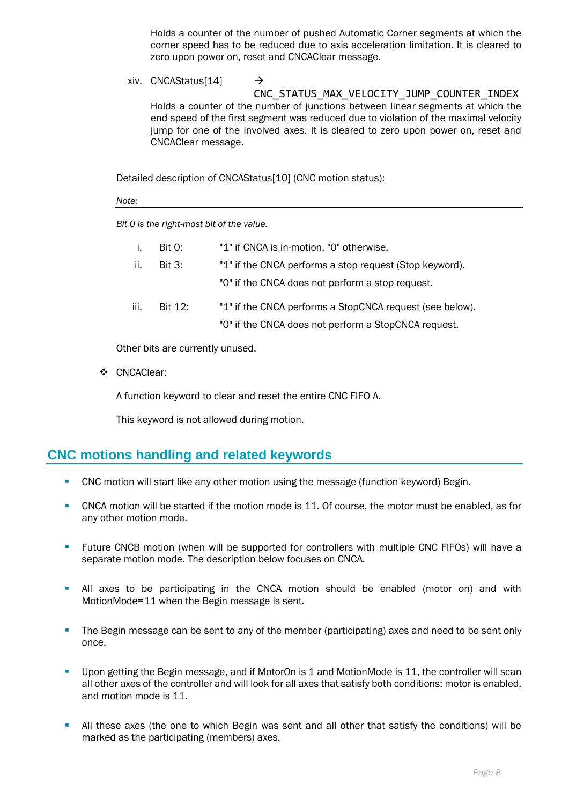Holds a counter of the number of pushed Automatic Corner segments at which the corner speed has to be reduced due to axis acceleration limitation. It is cleared to zero upon power on, reset and CNCAClear message.

xiv. CNCAStatus[14]  $\rightarrow$ CNC\_STATUS\_MAX\_VELOCITY\_JUMP\_COUNTER\_INDEX Holds a counter of the number of junctions between linear segments at which the end speed of the first segment was reduced due to violation of the maximal velocity jump for one of the involved axes. It is cleared to zero upon power on, reset and CNCAClear message.

Detailed description of CNCAStatus[10] (CNC motion status):

*Note:*

*Bit 0 is the right-most bit of the value.*

| i.   | Bit 0:         | "1" if CNCA is in-motion. "0" otherwise.                 |
|------|----------------|----------------------------------------------------------|
| ii.  | <b>Bit 3:</b>  | "1" if the CNCA performs a stop request (Stop keyword).  |
|      |                | "O" if the CNCA does not perform a stop request.         |
| iii. | <b>Bit 12:</b> | "1" if the CNCA performs a StopCNCA request (see below). |
|      |                | "O" if the CNCA does not perform a StopCNCA request.     |

Other bits are currently unused.

❖ CNCAClear:

A function keyword to clear and reset the entire CNC FIFO A.

This keyword is not allowed during motion.

# **CNC motions handling and related keywords**

- CNC motion will start like any other motion using the message (function keyword) Begin.
- CNCA motion will be started if the motion mode is 11. Of course, the motor must be enabled, as for any other motion mode.
- **•** Future CNCB motion (when will be supported for controllers with multiple CNC FIFOs) will have a separate motion mode. The description below focuses on CNCA.
- **E** All axes to be participating in the CNCA motion should be enabled (motor on) and with MotionMode=11 when the Begin message is sent.
- **•** The Begin message can be sent to any of the member (participating) axes and need to be sent only once.
- **•** Upon getting the Begin message, and if MotorOn is 1 and MotionMode is 11, the controller will scan all other axes of the controller and will look for all axes that satisfy both conditions: motor is enabled, and motion mode is 11.
- **E** All these axes (the one to which Begin was sent and all other that satisfy the conditions) will be marked as the participating (members) axes.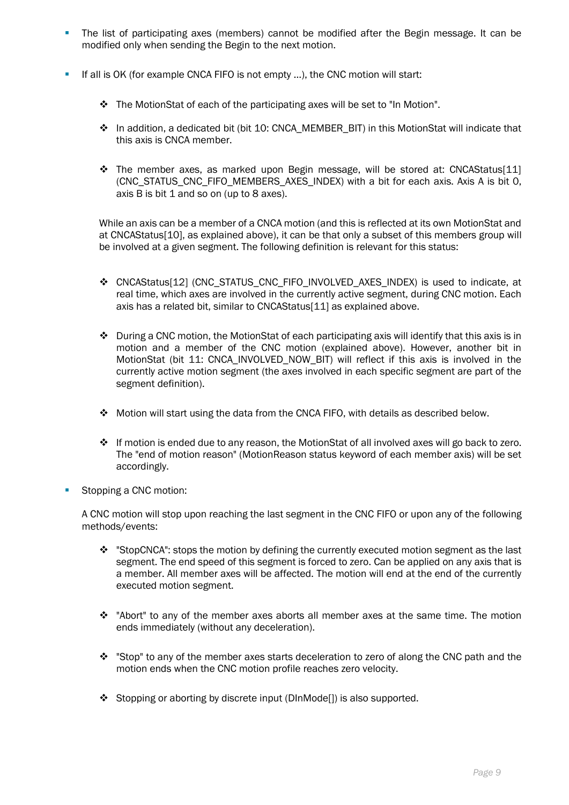- **•** The list of participating axes (members) cannot be modified after the Begin message. It can be modified only when sending the Begin to the next motion.
- **.** If all is OK (for example CNCA FIFO is not empty ...), the CNC motion will start:
	- $\cdot \cdot$  The MotionStat of each of the participating axes will be set to "In Motion".
	- $♦$  In addition, a dedicated bit (bit 10: CNCA\_MEMBER\_BIT) in this MotionStat will indicate that this axis is CNCA member.
	- ❖ The member axes, as marked upon Begin message, will be stored at: CNCAStatus[11] (CNC\_STATUS\_CNC\_FIFO\_MEMBERS\_AXES\_INDEX) with a bit for each axis. Axis A is bit 0, axis B is bit 1 and so on (up to 8 axes).

While an axis can be a member of a CNCA motion (and this is reflected at its own MotionStat and at CNCAStatus[10], as explained above), it can be that only a subset of this members group will be involved at a given segment. The following definition is relevant for this status:

- ❖ CNCAStatus[12] (CNC\_STATUS\_CNC\_FIFO\_INVOLVED\_AXES\_INDEX) is used to indicate, at real time, which axes are involved in the currently active segment, during CNC motion. Each axis has a related bit, similar to CNCAStatus[11] as explained above.
- $\cdot \cdot$  During a CNC motion, the MotionStat of each participating axis will identify that this axis is in motion and a member of the CNC motion (explained above). However, another bit in MotionStat (bit 11: CNCA\_INVOLVED\_NOW\_BIT) will reflect if this axis is involved in the currently active motion segment (the axes involved in each specific segment are part of the segment definition).
- $\div$  Motion will start using the data from the CNCA FIFO, with details as described below.
- ❖ If motion is ended due to any reason, the MotionStat of all involved axes will go back to zero. The "end of motion reason" (MotionReason status keyword of each member axis) will be set accordingly.
- Stopping a CNC motion:

A CNC motion will stop upon reaching the last segment in the CNC FIFO or upon any of the following methods/events:

- $\dots$  "StopCNCA": stops the motion by defining the currently executed motion segment as the last segment. The end speed of this segment is forced to zero. Can be applied on any axis that is a member. All member axes will be affected. The motion will end at the end of the currently executed motion segment.
- ❖ "Abort" to any of the member axes aborts all member axes at the same time. The motion ends immediately (without any deceleration).
- ❖ "Stop" to any of the member axes starts deceleration to zero of along the CNC path and the motion ends when the CNC motion profile reaches zero velocity.
- ❖ Stopping or aborting by discrete input (DInMode[]) is also supported.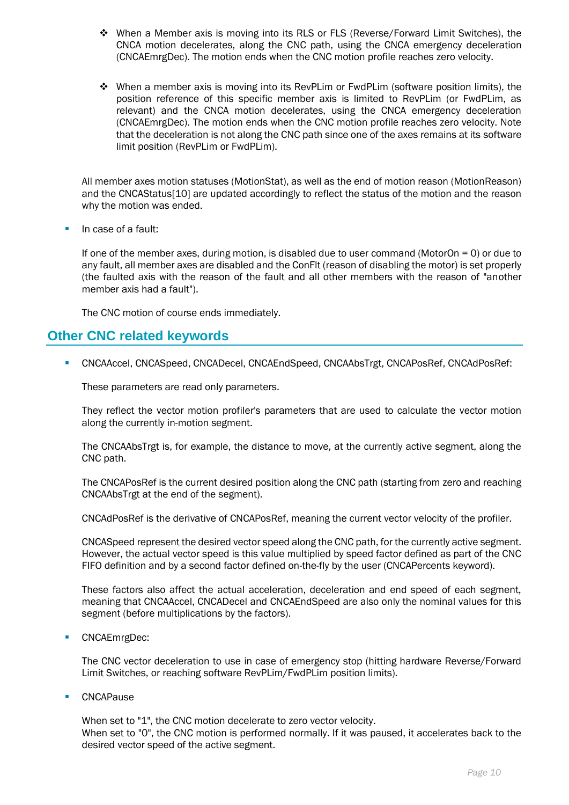- ❖ When a Member axis is moving into its RLS or FLS (Reverse/Forward Limit Switches), the CNCA motion decelerates, along the CNC path, using the CNCA emergency deceleration (CNCAEmrgDec). The motion ends when the CNC motion profile reaches zero velocity.
- ❖ When a member axis is moving into its RevPLim or FwdPLim (software position limits), the position reference of this specific member axis is limited to RevPLim (or FwdPLim, as relevant) and the CNCA motion decelerates, using the CNCA emergency deceleration (CNCAEmrgDec). The motion ends when the CNC motion profile reaches zero velocity. Note that the deceleration is not along the CNC path since one of the axes remains at its software limit position (RevPLim or FwdPLim).

All member axes motion statuses (MotionStat), as well as the end of motion reason (MotionReason) and the CNCAStatus<sup>[10]</sup> are updated accordingly to reflect the status of the motion and the reason why the motion was ended.

**·** In case of a fault:

If one of the member axes, during motion, is disabled due to user command (MotorOn =  $0$ ) or due to any fault, all member axes are disabled and the ConFlt (reason of disabling the motor) is set properly (the faulted axis with the reason of the fault and all other members with the reason of "another member axis had a fault").

The CNC motion of course ends immediately.

# **Other CNC related keywords**

▪ CNCAAccel, CNCASpeed, CNCADecel, CNCAEndSpeed, CNCAAbsTrgt, CNCAPosRef, CNCAdPosRef:

These parameters are read only parameters.

They reflect the vector motion profiler's parameters that are used to calculate the vector motion along the currently in-motion segment.

The CNCAAbsTrgt is, for example, the distance to move, at the currently active segment, along the CNC path.

The CNCAPosRef is the current desired position along the CNC path (starting from zero and reaching CNCAAbsTrgt at the end of the segment).

CNCAdPosRef is the derivative of CNCAPosRef, meaning the current vector velocity of the profiler.

CNCASpeed represent the desired vector speed along the CNC path, for the currently active segment. However, the actual vector speed is this value multiplied by speed factor defined as part of the CNC FIFO definition and by a second factor defined on-the-fly by the user (CNCAPercents keyword).

These factors also affect the actual acceleration, deceleration and end speed of each segment, meaning that CNCAAccel, CNCADecel and CNCAEndSpeed are also only the nominal values for this segment (before multiplications by the factors).

■ CNCAEmrgDec:

The CNC vector deceleration to use in case of emergency stop (hitting hardware Reverse/Forward Limit Switches, or reaching software RevPLim/FwdPLim position limits).

■ CNCAPause

When set to "1", the CNC motion decelerate to zero vector velocity. When set to "0", the CNC motion is performed normally. If it was paused, it accelerates back to the desired vector speed of the active segment.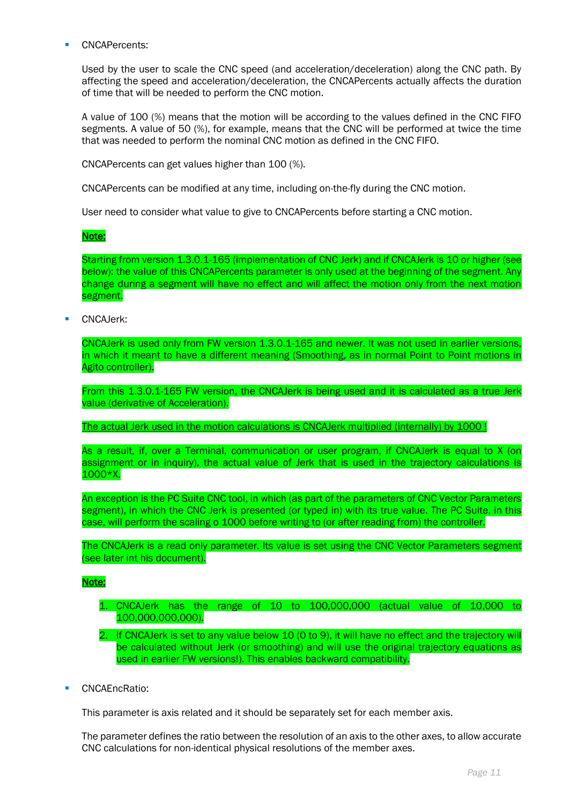CNCAPercents:

Used by the user to scale the CNC speed (and acceleration/deceleration) along the CNC path. By affecting the speed and acceleration/deceleration, the CNCAPercents actually affects the duration of time that will be needed to perform the CNC motion.

A value of 100 (%) means that the motion will be according to the values defined in the CNC FIFO segments. A value of 50 (%), for example, means that the CNC will be performed at twice the time that was needed to perform the nominal CNC motion as defined in the CNC FIFO.

CNCAPercents can get values higher than 100 (%).

CNCAPercents can be modified at any time, including on-the-fly during the CNC motion.

User need to consider what value to give to CNCAPercents before starting a CNC motion.

#### Note:

Starting from version 1.3.0.1-165 (implementation of CNC Jerk) and if CNCAJerk is 10 or higher (see below): the value of this CNCAPercents parameter is only used at the beginning of the segment. Any change during a segment will have no effect and will affect the motion only from the next motion segment.

CNCAJerk:

CNCAJerk is used only from FW version 1.3.0.1-165 and newer. It was not used in earlier versions, in which it meant to have a different meaning (Smoothing, as in normal Point to Point motions in Agito controller).

From this 1.3.0.1-165 FW version, the CNCAJerk is being used and it is calculated as a true Jerk value (derivative of Acceleration).

The actual Jerk used in the motion calculations is CNCAJerk multiplied (internally) by 1000 !

As a result, if, over a Terminal, communication or user program, if CNCAJerk is equal to X (on assignment or in inquiry), the actual value of Jerk that is used in the trajectory calculations is 1000\*X.

An exception is the PC Suite CNC tool, in which (as part of the parameters of CNC Vector Parameters segment), in which the CNC Jerk is presented (or typed in) with its true value. The PC Suite, in this case, will perform the scaling o 1000 before writing to (or after reading from) the controller.

The CNCAJerk is a read only parameter. Its value is set using the CNC Vector Parameters segment (see later int his document).

#### Note:

- 1. CNCAJerk has the range of 10 to 100,000,000 (actual value of 10,000 to 100,000,000,000).
- 2. If CNCAJerk is set to any value below 10 (0 to 9), it will have no effect and the trajectory will be calculated without Jerk (or smoothing) and will use the original trajectory equations as used in earlier FW versions!). This enables backward compatibility.
- **■** CNCAEncRatio:

This parameter is axis related and it should be separately set for each member axis.

The parameter defines the ratio between the resolution of an axis to the other axes, to allow accurate CNC calculations for non-identical physical resolutions of the member axes.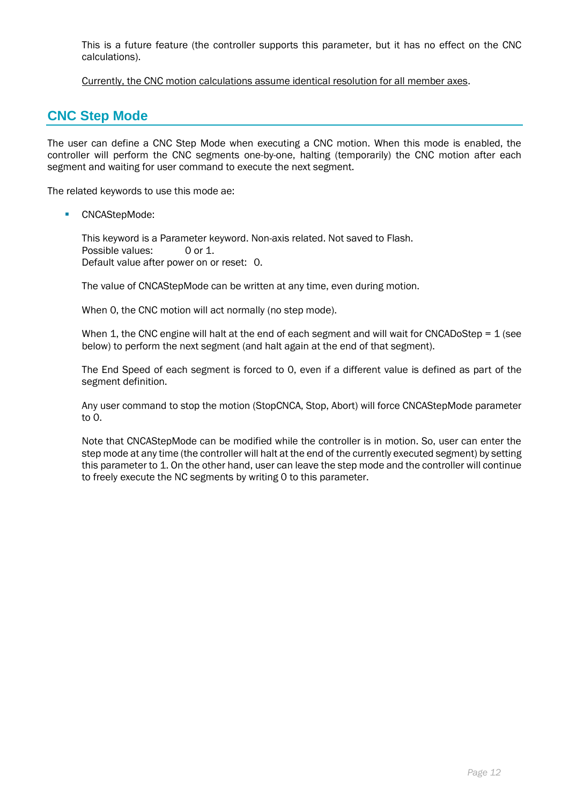This is a future feature (the controller supports this parameter, but it has no effect on the CNC calculations).

Currently, the CNC motion calculations assume identical resolution for all member axes.

# **CNC Step Mode**

The user can define a CNC Step Mode when executing a CNC motion. When this mode is enabled, the controller will perform the CNC segments one-by-one, halting (temporarily) the CNC motion after each segment and waiting for user command to execute the next segment.

The related keywords to use this mode ae:

■ CNCAStepMode:

This keyword is a Parameter keyword. Non-axis related. Not saved to Flash. Possible values: 0 or 1. Default value after power on or reset: 0.

The value of CNCAStepMode can be written at any time, even during motion.

When 0, the CNC motion will act normally (no step mode).

When 1, the CNC engine will halt at the end of each segment and will wait for CNCADoStep =  $1$  (see below) to perform the next segment (and halt again at the end of that segment).

The End Speed of each segment is forced to 0, even if a different value is defined as part of the segment definition.

Any user command to stop the motion (StopCNCA, Stop, Abort) will force CNCAStepMode parameter to 0.

Note that CNCAStepMode can be modified while the controller is in motion. So, user can enter the step mode at any time (the controller will halt at the end of the currently executed segment) by setting this parameter to 1. On the other hand, user can leave the step mode and the controller will continue to freely execute the NC segments by writing 0 to this parameter.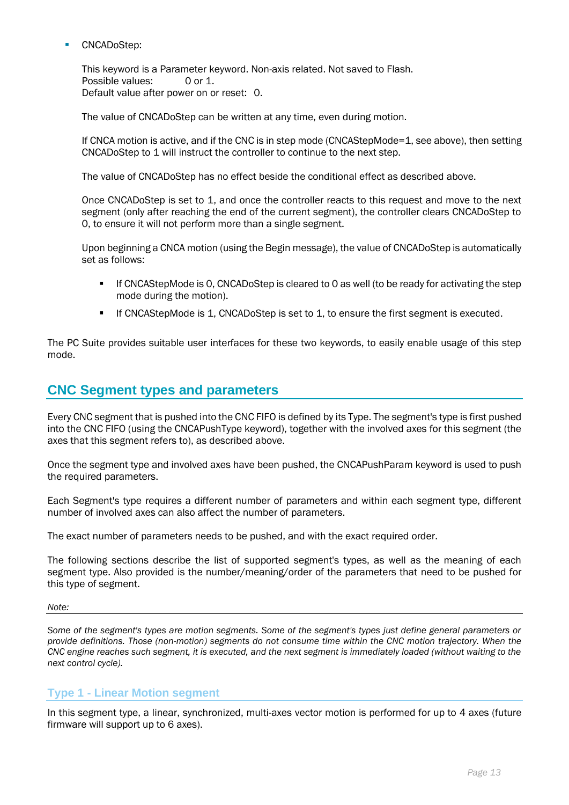CNCADoStep:

This keyword is a Parameter keyword. Non-axis related. Not saved to Flash. Possible values: 0 or 1. Default value after power on or reset: 0.

The value of CNCADoStep can be written at any time, even during motion.

If CNCA motion is active, and if the CNC is in step mode (CNCAStepMode=1, see above), then setting CNCADoStep to 1 will instruct the controller to continue to the next step.

The value of CNCADoStep has no effect beside the conditional effect as described above.

Once CNCADoStep is set to 1, and once the controller reacts to this request and move to the next segment (only after reaching the end of the current segment), the controller clears CNCADoStep to 0, to ensure it will not perform more than a single segment.

Upon beginning a CNCA motion (using the Begin message), the value of CNCADoStep is automatically set as follows:

- **•** If CNCAStepMode is 0, CNCADoStep is cleared to 0 as well (to be ready for activating the step mode during the motion).
- **•** If CNCAStepMode is 1, CNCADoStep is set to 1, to ensure the first segment is executed.

The PC Suite provides suitable user interfaces for these two keywords, to easily enable usage of this step mode.

# **CNC Segment types and parameters**

Every CNC segment that is pushed into the CNC FIFO is defined by its Type. The segment's type is first pushed into the CNC FIFO (using the CNCAPushType keyword), together with the involved axes for this segment (the axes that this segment refers to), as described above.

Once the segment type and involved axes have been pushed, the CNCAPushParam keyword is used to push the required parameters.

Each Segment's type requires a different number of parameters and within each segment type, different number of involved axes can also affect the number of parameters.

The exact number of parameters needs to be pushed, and with the exact required order.

The following sections describe the list of supported segment's types, as well as the meaning of each segment type. Also provided is the number/meaning/order of the parameters that need to be pushed for this type of segment.

#### *Note:*

*Some of the segment's types are motion segments. Some of the segment's types just define general parameters or provide definitions. Those (non-motion) segments do not consume time within the CNC motion trajectory. When the CNC engine reaches such segment, it is executed, and the next segment is immediately loaded (without waiting to the next control cycle).*

## **Type 1 - Linear Motion segment**

In this segment type, a linear, synchronized, multi-axes vector motion is performed for up to 4 axes (future firmware will support up to 6 axes).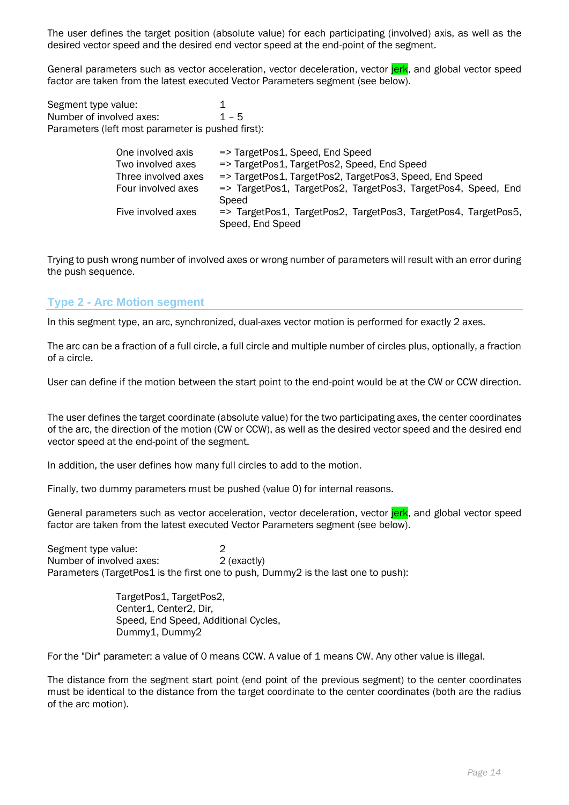The user defines the target position (absolute value) for each participating (involved) axis, as well as the desired vector speed and the desired end vector speed at the end-point of the segment.

General parameters such as vector acceleration, vector deceleration, vector **jerk**, and global vector speed factor are taken from the latest executed Vector Parameters segment (see below).

Segment type value: 1 Number of involved axes:  $1 - 5$ Parameters (left most parameter is pushed first):

| One involved axis   | => TargetPos1, Speed, End Speed                                |
|---------------------|----------------------------------------------------------------|
| Two involved axes   | => TargetPos1, TargetPos2, Speed, End Speed                    |
| Three involved axes | => TargetPos1, TargetPos2, TargetPos3, Speed, End Speed        |
| Four involved axes  | => TargetPos1, TargetPos2, TargetPos3, TargetPos4, Speed, End  |
|                     | Speed                                                          |
| Five involved axes  | => TargetPos1, TargetPos2, TargetPos3, TargetPos4, TargetPos5, |
|                     | Speed, End Speed                                               |

Trying to push wrong number of involved axes or wrong number of parameters will result with an error during the push sequence.

## **Type 2 - Arc Motion segment**

In this segment type, an arc, synchronized, dual-axes vector motion is performed for exactly 2 axes.

The arc can be a fraction of a full circle, a full circle and multiple number of circles plus, optionally, a fraction of a circle.

User can define if the motion between the start point to the end-point would be at the CW or CCW direction.

The user defines the target coordinate (absolute value) for the two participating axes, the center coordinates of the arc, the direction of the motion (CW or CCW), as well as the desired vector speed and the desired end vector speed at the end-point of the segment.

In addition, the user defines how many full circles to add to the motion.

Finally, two dummy parameters must be pushed (value 0) for internal reasons.

General parameters such as vector acceleration, vector deceleration, vector jerk, and global vector speed factor are taken from the latest executed Vector Parameters segment (see below).

Segment type value: 2 Number of involved axes: 2 (exactly) Parameters (TargetPos1 is the first one to push, Dummy2 is the last one to push):

> TargetPos1, TargetPos2, Center1, Center2, Dir, Speed, End Speed, Additional Cycles, Dummy1, Dummy2

For the "Dir" parameter: a value of 0 means CCW. A value of 1 means CW. Any other value is illegal.

The distance from the segment start point (end point of the previous segment) to the center coordinates must be identical to the distance from the target coordinate to the center coordinates (both are the radius of the arc motion).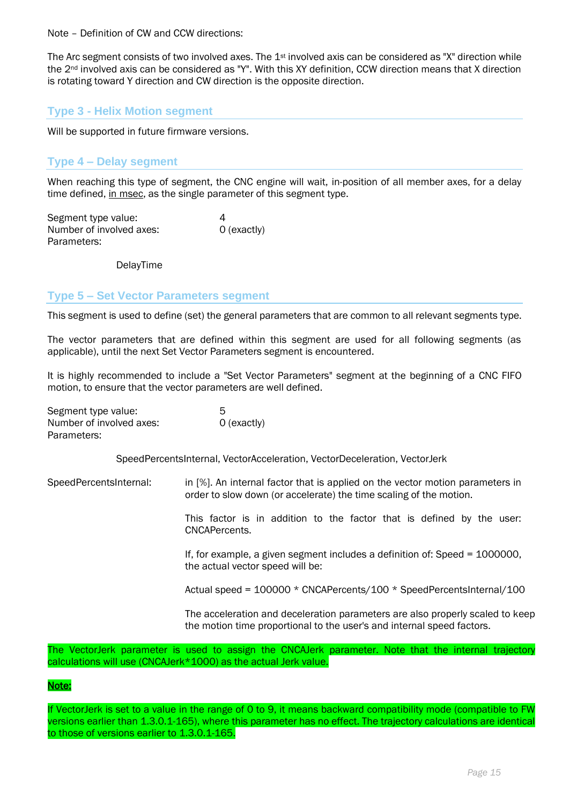Note – Definition of CW and CCW directions:

The Arc segment consists of two involved axes. The 1<sup>st</sup> involved axis can be considered as "X" direction while the 2nd involved axis can be considered as "Y". With this XY definition, CCW direction means that X direction is rotating toward Y direction and CW direction is the opposite direction.

## **Type 3 - Helix Motion segment**

Will be supported in future firmware versions.

## **Type 4 – Delay segment**

When reaching this type of segment, the CNC engine will wait, in-position of all member axes, for a delay time defined, in msec, as the single parameter of this segment type.

Segment type value: 4 Number of involved axes: 0 (exactly) Parameters:

DelayTime

## **Type 5 – Set Vector Parameters segment**

This segment is used to define (set) the general parameters that are common to all relevant segments type.

The vector parameters that are defined within this segment are used for all following segments (as applicable), until the next Set Vector Parameters segment is encountered.

It is highly recommended to include a "Set Vector Parameters" segment at the beginning of a CNC FIFO motion, to ensure that the vector parameters are well defined.

| Segment type value:      | 5           |
|--------------------------|-------------|
| Number of involved axes: | 0 (exactly) |
| Parameters:              |             |

SpeedPercentsInternal, VectorAcceleration, VectorDeceleration, VectorJerk

SpeedPercentsInternal: in [%]. An internal factor that is applied on the vector motion parameters in order to slow down (or accelerate) the time scaling of the motion.

> This factor is in addition to the factor that is defined by the user: CNCAPercents.

> If, for example, a given segment includes a definition of: Speed = 1000000, the actual vector speed will be:

> Actual speed = 100000 \* CNCAPercents/100 \* SpeedPercentsInternal/100

The acceleration and deceleration parameters are also properly scaled to keep the motion time proportional to the user's and internal speed factors.

The VectorJerk parameter is used to assign the CNCAJerk parameter. Note that the internal trajectory calculations will use (CNCAJerk\*1000) as the actual Jerk value.

## Note:

If VectorJerk is set to a value in the range of 0 to 9, it means backward compatibility mode (compatible to FW versions earlier than 1.3.0.1-165), where this parameter has no effect. The trajectory calculations are identical to those of versions earlier to 1.3.0.1-165.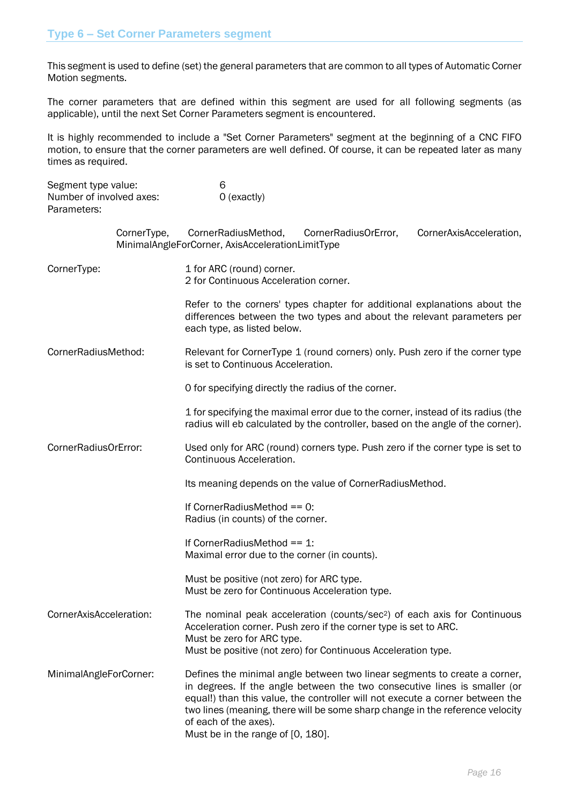This segment is used to define (set) the general parameters that are common to all types of Automatic Corner Motion segments.

The corner parameters that are defined within this segment are used for all following segments (as applicable), until the next Set Corner Parameters segment is encountered.

It is highly recommended to include a "Set Corner Parameters" segment at the beginning of a CNC FIFO motion, to ensure that the corner parameters are well defined. Of course, it can be repeated later as many times as required.

| Segment type value:<br>Number of involved axes:<br>Parameters: | 6<br>$O$ (exactly)                                                                                                                                                                                                                                                                                                                                                                     |
|----------------------------------------------------------------|----------------------------------------------------------------------------------------------------------------------------------------------------------------------------------------------------------------------------------------------------------------------------------------------------------------------------------------------------------------------------------------|
| CornerType,                                                    | CornerRadiusMethod,<br>CornerAxisAcceleration,<br>CornerRadiusOrError,<br>MinimalAngleForCorner, AxisAccelerationLimitType                                                                                                                                                                                                                                                             |
| CornerType:                                                    | 1 for ARC (round) corner.<br>2 for Continuous Acceleration corner.                                                                                                                                                                                                                                                                                                                     |
|                                                                | Refer to the corners' types chapter for additional explanations about the<br>differences between the two types and about the relevant parameters per<br>each type, as listed below.                                                                                                                                                                                                    |
| CornerRadiusMethod:                                            | Relevant for CornerType 1 (round corners) only. Push zero if the corner type<br>is set to Continuous Acceleration.                                                                                                                                                                                                                                                                     |
|                                                                | O for specifying directly the radius of the corner.                                                                                                                                                                                                                                                                                                                                    |
|                                                                | 1 for specifying the maximal error due to the corner, instead of its radius (the<br>radius will eb calculated by the controller, based on the angle of the corner).                                                                                                                                                                                                                    |
| CornerRadiusOrError:                                           | Used only for ARC (round) corners type. Push zero if the corner type is set to<br>Continuous Acceleration.                                                                                                                                                                                                                                                                             |
|                                                                | Its meaning depends on the value of Corner Radius Method.                                                                                                                                                                                                                                                                                                                              |
|                                                                | If CornerRadiusMethod == 0:<br>Radius (in counts) of the corner.                                                                                                                                                                                                                                                                                                                       |
|                                                                | If Corner Radius Method == 1:<br>Maximal error due to the corner (in counts).                                                                                                                                                                                                                                                                                                          |
|                                                                | Must be positive (not zero) for ARC type.<br>Must be zero for Continuous Acceleration type.                                                                                                                                                                                                                                                                                            |
| CornerAxisAcceleration:                                        | The nominal peak acceleration (counts/sec <sup>2</sup> ) of each axis for Continuous<br>Acceleration corner. Push zero if the corner type is set to ARC.<br>Must be zero for ARC type.<br>Must be positive (not zero) for Continuous Acceleration type.                                                                                                                                |
| MinimalAngleForCorner:                                         | Defines the minimal angle between two linear segments to create a corner,<br>in degrees. If the angle between the two consecutive lines is smaller (or<br>equal!) than this value, the controller will not execute a corner between the<br>two lines (meaning, there will be some sharp change in the reference velocity<br>of each of the axes).<br>Must be in the range of [0, 180]. |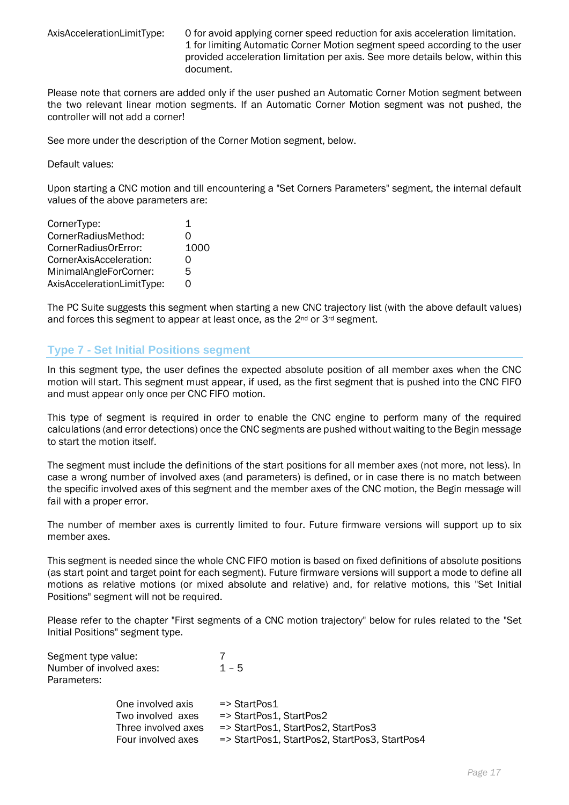AxisAccelerationLimitType: 0 for avoid applying corner speed reduction for axis acceleration limitation. 1 for limiting Automatic Corner Motion segment speed according to the user provided acceleration limitation per axis. See more details below, within this document.

Please note that corners are added only if the user pushed an Automatic Corner Motion segment between the two relevant linear motion segments. If an Automatic Corner Motion segment was not pushed, the controller will not add a corner!

See more under the description of the Corner Motion segment, below.

Default values:

Upon starting a CNC motion and till encountering a "Set Corners Parameters" segment, the internal default values of the above parameters are:

| CornerType:                | 1                 |
|----------------------------|-------------------|
| CornerRadiusMethod:        | Ω                 |
| CornerRadiusOrError:       | 1000              |
| CornerAxisAcceleration:    | O                 |
| MinimalAngleForCorner:     | 5                 |
| AxisAccelerationLimitType: | $\mathbf{\Omega}$ |

The PC Suite suggests this segment when starting a new CNC trajectory list (with the above default values) and forces this segment to appear at least once, as the 2<sup>nd</sup> or 3<sup>rd</sup> segment.

## **Type 7 - Set Initial Positions segment**

In this segment type, the user defines the expected absolute position of all member axes when the CNC motion will start. This segment must appear, if used, as the first segment that is pushed into the CNC FIFO and must appear only once per CNC FIFO motion.

This type of segment is required in order to enable the CNC engine to perform many of the required calculations (and error detections) once the CNC segments are pushed without waiting to the Begin message to start the motion itself.

The segment must include the definitions of the start positions for all member axes (not more, not less). In case a wrong number of involved axes (and parameters) is defined, or in case there is no match between the specific involved axes of this segment and the member axes of the CNC motion, the Begin message will fail with a proper error.

The number of member axes is currently limited to four. Future firmware versions will support up to six member axes.

This segment is needed since the whole CNC FIFO motion is based on fixed definitions of absolute positions (as start point and target point for each segment). Future firmware versions will support a mode to define all motions as relative motions (or mixed absolute and relative) and, for relative motions, this "Set Initial Positions" segment will not be required.

Please refer to the chapter "First segments of a CNC motion trajectory" below for rules related to the "Set Initial Positions" segment type.

| Segment type value:      |                     |                                               |
|--------------------------|---------------------|-----------------------------------------------|
| Number of involved axes: |                     | $1 - 5$                                       |
| Parameters:              |                     |                                               |
|                          | One involved axis   | $\Rightarrow$ StartPos1                       |
|                          | Two involved axes   | => StartPos1, StartPos2                       |
|                          | Three involved axes | => StartPos1, StartPos2, StartPos3            |
|                          | Four involved axes  | => StartPos1, StartPos2, StartPos3, StartPos4 |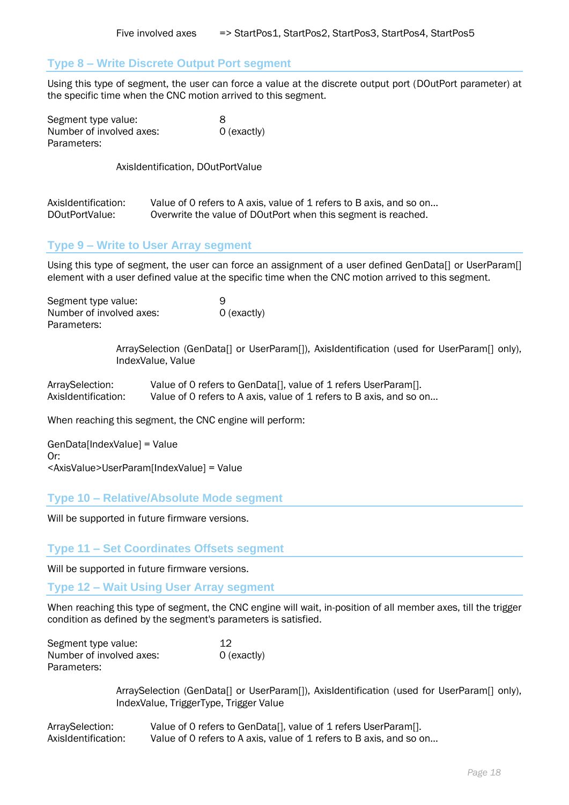#### **Type 8 – Write Discrete Output Port segment**

Using this type of segment, the user can force a value at the discrete output port (DOutPort parameter) at the specific time when the CNC motion arrived to this segment.

| Segment type value:      | 8           |
|--------------------------|-------------|
| Number of involved axes: | 0 (exactly) |
| Parameters:              |             |

AxisIdentification, DOutPortValue

| AxisIdentification: | Value of 0 refers to A axis, value of 1 refers to B axis, and so on |
|---------------------|---------------------------------------------------------------------|
| DOutPortValue:      | Overwrite the value of DOutPort when this segment is reached.       |

## **Type 9 – Write to User Array segment**

Using this type of segment, the user can force an assignment of a user defined GenData[] or UserParam[] element with a user defined value at the specific time when the CNC motion arrived to this segment.

| Segment type value:      | 9           |
|--------------------------|-------------|
| Number of involved axes: | 0 (exactly) |
| Parameters:              |             |

ArraySelection (GenData[] or UserParam[]), AxisIdentification (used for UserParam[] only), IndexValue, Value

| ArraySelection:     | Value of 0 refers to GenData[], value of 1 refers UserParam[].      |
|---------------------|---------------------------------------------------------------------|
| AxisIdentification: | Value of 0 refers to A axis, value of 1 refers to B axis, and so on |

When reaching this segment, the CNC engine will perform:

GenData[IndexValue] = Value Or: <AxisValue>UserParam[IndexValue] = Value

### **Type 10 – Relative/Absolute Mode segment**

Will be supported in future firmware versions.

#### **Type 11 – Set Coordinates Offsets segment**

Will be supported in future firmware versions.

**Type 12 – Wait Using User Array segment**

When reaching this type of segment, the CNC engine will wait, in-position of all member axes, till the trigger condition as defined by the segment's parameters is satisfied.

| Segment type value:      | 12            |
|--------------------------|---------------|
| Number of involved axes: | $O$ (exactly) |
| Parameters:              |               |

ArraySelection (GenData[] or UserParam[]), AxisIdentification (used for UserParam[] only), IndexValue, TriggerType, Trigger Value

| ArraySelection:     | Value of 0 refers to GenData[], value of 1 refers UserParam[].      |
|---------------------|---------------------------------------------------------------------|
| AxisIdentification: | Value of 0 refers to A axis, value of 1 refers to B axis, and so on |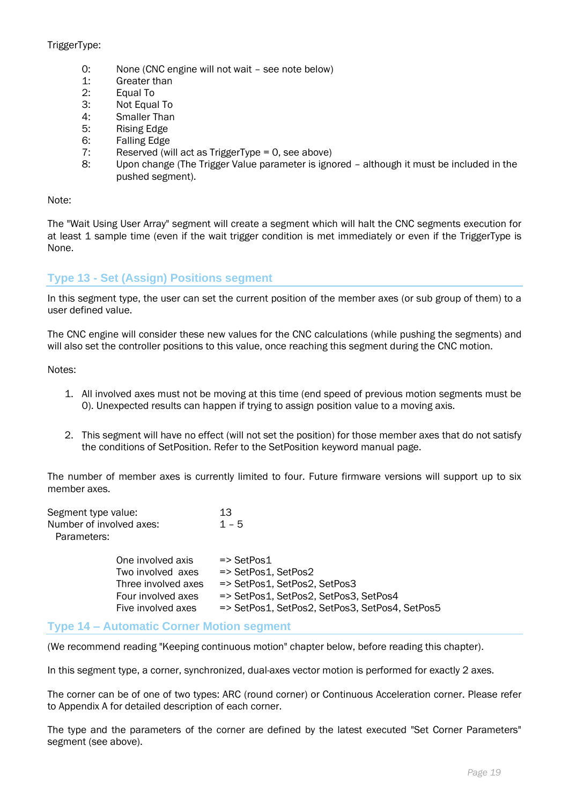## TriggerType:

- 0: None (CNC engine will not wait see note below)
- 1: Greater than
- 2: Equal To
- 3: Not Equal To
- 4: Smaller Than
- 5: Rising Edge
- 6: Falling Edge
- 7: Reserved (will act as TriggerType = 0, see above)
- 8: Upon change (The Trigger Value parameter is ignored although it must be included in the pushed segment).

Note:

The "Wait Using User Array" segment will create a segment which will halt the CNC segments execution for at least 1 sample time (even if the wait trigger condition is met immediately or even if the TriggerType is None.

# **Type 13 - Set (Assign) Positions segment**

In this segment type, the user can set the current position of the member axes (or sub group of them) to a user defined value.

The CNC engine will consider these new values for the CNC calculations (while pushing the segments) and will also set the controller positions to this value, once reaching this segment during the CNC motion.

Notes:

- 1. All involved axes must not be moving at this time (end speed of previous motion segments must be 0). Unexpected results can happen if trying to assign position value to a moving axis.
- 2. This segment will have no effect (will not set the position) for those member axes that do not satisfy the conditions of SetPosition. Refer to the SetPosition keyword manual page.

The number of member axes is currently limited to four. Future firmware versions will support up to six member axes.

| Segment type value:<br>Number of involved axes:<br>Parameters: |                                                                                                           | 13<br>$1 - 5$                                                                                                                                                           |
|----------------------------------------------------------------|-----------------------------------------------------------------------------------------------------------|-------------------------------------------------------------------------------------------------------------------------------------------------------------------------|
|                                                                | One involved axis<br>Two involved axes<br>Three involved axes<br>Four involved axes<br>Five involved axes | $\Rightarrow$ SetPos1<br>=> SetPos1, SetPos2<br>=> SetPos1, SetPos2, SetPos3<br>=> SetPos1, SetPos2, SetPos3, SetPos4<br>=> SetPos1, SetPos2, SetPos3, SetPos4, SetPos5 |

## **Type 14 – Automatic Corner Motion segment**

(We recommend reading "Keeping continuous motion" chapter below, before reading this chapter).

In this segment type, a corner, synchronized, dual-axes vector motion is performed for exactly 2 axes.

The corner can be of one of two types: ARC (round corner) or Continuous Acceleration corner. Please refer to Appendix A for detailed description of each corner.

The type and the parameters of the corner are defined by the latest executed "Set Corner Parameters" segment (see above).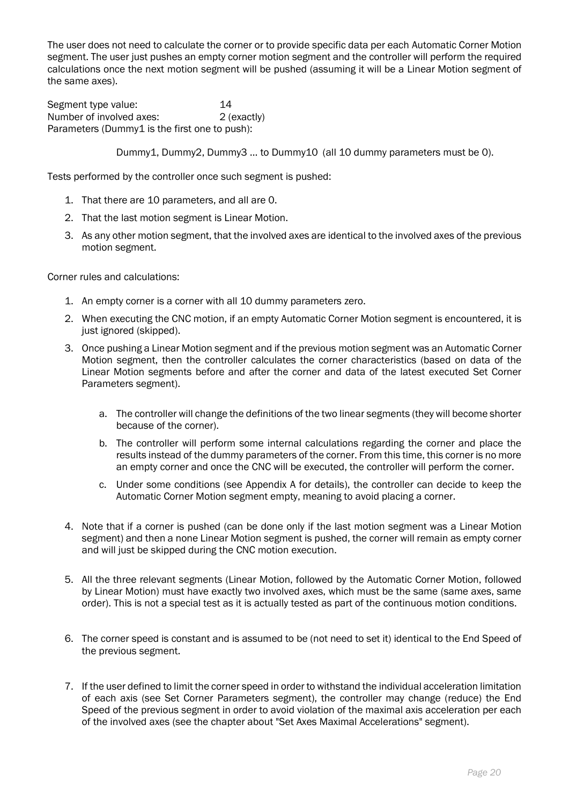The user does not need to calculate the corner or to provide specific data per each Automatic Corner Motion segment. The user just pushes an empty corner motion segment and the controller will perform the required calculations once the next motion segment will be pushed (assuming it will be a Linear Motion segment of the same axes).

Segment type value: 14 Number of involved axes: 2 (exactly) Parameters (Dummy1 is the first one to push):

Dummy1, Dummy2, Dummy3 … to Dummy10 (all 10 dummy parameters must be 0).

Tests performed by the controller once such segment is pushed:

- 1. That there are 10 parameters, and all are 0.
- 2. That the last motion segment is Linear Motion.
- 3. As any other motion segment, that the involved axes are identical to the involved axes of the previous motion segment.

Corner rules and calculations:

- 1. An empty corner is a corner with all 10 dummy parameters zero.
- 2. When executing the CNC motion, if an empty Automatic Corner Motion segment is encountered, it is just ignored (skipped).
- 3. Once pushing a Linear Motion segment and if the previous motion segment was an Automatic Corner Motion segment, then the controller calculates the corner characteristics (based on data of the Linear Motion segments before and after the corner and data of the latest executed Set Corner Parameters segment).
	- a. The controller will change the definitions of the two linear segments (they will become shorter because of the corner).
	- b. The controller will perform some internal calculations regarding the corner and place the results instead of the dummy parameters of the corner. From this time, this corner is no more an empty corner and once the CNC will be executed, the controller will perform the corner.
	- c. Under some conditions (see Appendix A for details), the controller can decide to keep the Automatic Corner Motion segment empty, meaning to avoid placing a corner.
- 4. Note that if a corner is pushed (can be done only if the last motion segment was a Linear Motion segment) and then a none Linear Motion segment is pushed, the corner will remain as empty corner and will just be skipped during the CNC motion execution.
- 5. All the three relevant segments (Linear Motion, followed by the Automatic Corner Motion, followed by Linear Motion) must have exactly two involved axes, which must be the same (same axes, same order). This is not a special test as it is actually tested as part of the continuous motion conditions.
- 6. The corner speed is constant and is assumed to be (not need to set it) identical to the End Speed of the previous segment.
- 7. If the user defined to limit the corner speed in order to withstand the individual acceleration limitation of each axis (see Set Corner Parameters segment), the controller may change (reduce) the End Speed of the previous segment in order to avoid violation of the maximal axis acceleration per each of the involved axes (see the chapter about "Set Axes Maximal Accelerations" segment).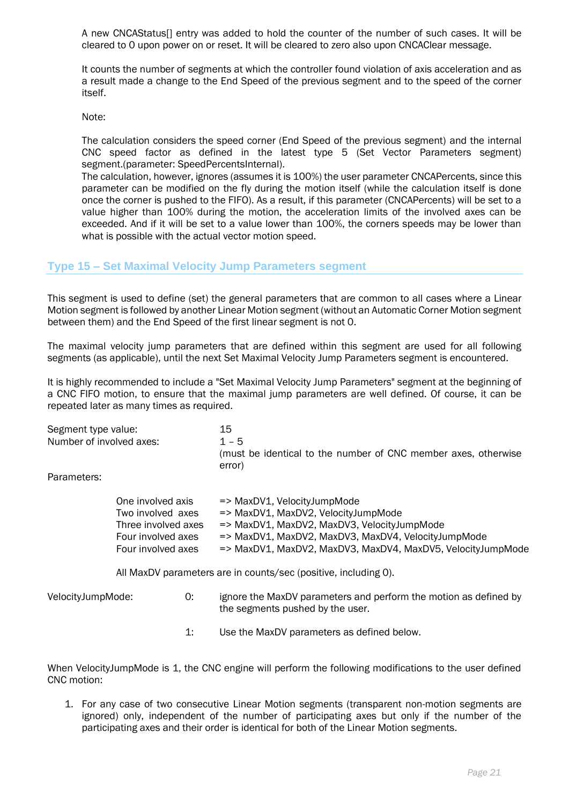A new CNCAStatus[] entry was added to hold the counter of the number of such cases. It will be cleared to 0 upon power on or reset. It will be cleared to zero also upon CNCAClear message.

It counts the number of segments at which the controller found violation of axis acceleration and as a result made a change to the End Speed of the previous segment and to the speed of the corner itself.

Note:

The calculation considers the speed corner (End Speed of the previous segment) and the internal CNC speed factor as defined in the latest type 5 (Set Vector Parameters segment) segment.(parameter: SpeedPercentsInternal).

The calculation, however, ignores (assumes it is 100%) the user parameter CNCAPercents, since this parameter can be modified on the fly during the motion itself (while the calculation itself is done once the corner is pushed to the FIFO). As a result, if this parameter (CNCAPercents) will be set to a value higher than 100% during the motion, the acceleration limits of the involved axes can be exceeded. And if it will be set to a value lower than 100%, the corners speeds may be lower than what is possible with the actual vector motion speed.

### **Type 15 – Set Maximal Velocity Jump Parameters segment**

This segment is used to define (set) the general parameters that are common to all cases where a Linear Motion segment is followed by another Linear Motion segment (without an Automatic Corner Motion segment between them) and the End Speed of the first linear segment is not 0.

The maximal velocity jump parameters that are defined within this segment are used for all following segments (as applicable), until the next Set Maximal Velocity Jump Parameters segment is encountered.

It is highly recommended to include a "Set Maximal Velocity Jump Parameters" segment at the beginning of a CNC FIFO motion, to ensure that the maximal jump parameters are well defined. Of course, it can be repeated later as many times as required.

| Segment type value:      | 15                                                                       |
|--------------------------|--------------------------------------------------------------------------|
| Number of involved axes: | $1 - 5$                                                                  |
|                          | (must be identical to the number of CNC member axes, otherwise<br>error) |
|                          |                                                                          |

Parameters:

| One involved axis   | $\Rightarrow$ MaxDV1, VelocityJumpMode                      |
|---------------------|-------------------------------------------------------------|
| Two involved axes   | => MaxDV1, MaxDV2, VelocityJumpMode                         |
| Three involved axes | => MaxDV1, MaxDV2, MaxDV3, VelocityJumpMode                 |
| Four involved axes  | => MaxDV1, MaxDV2, MaxDV3, MaxDV4, VelocityJumpMode         |
| Four involved axes  | => MaxDV1, MaxDV2, MaxDV3, MaxDV4, MaxDV5, VelocityJumpMode |

All MaxDV parameters are in counts/sec (positive, including 0).

| VelocityJumpMode: | ignore the MaxDV parameters and perform the motion as defined by |
|-------------------|------------------------------------------------------------------|
|                   | the segments pushed by the user.                                 |

1: Use the MaxDV parameters as defined below.

When VelocityJumpMode is 1, the CNC engine will perform the following modifications to the user defined CNC motion:

1. For any case of two consecutive Linear Motion segments (transparent non-motion segments are ignored) only, independent of the number of participating axes but only if the number of the participating axes and their order is identical for both of the Linear Motion segments.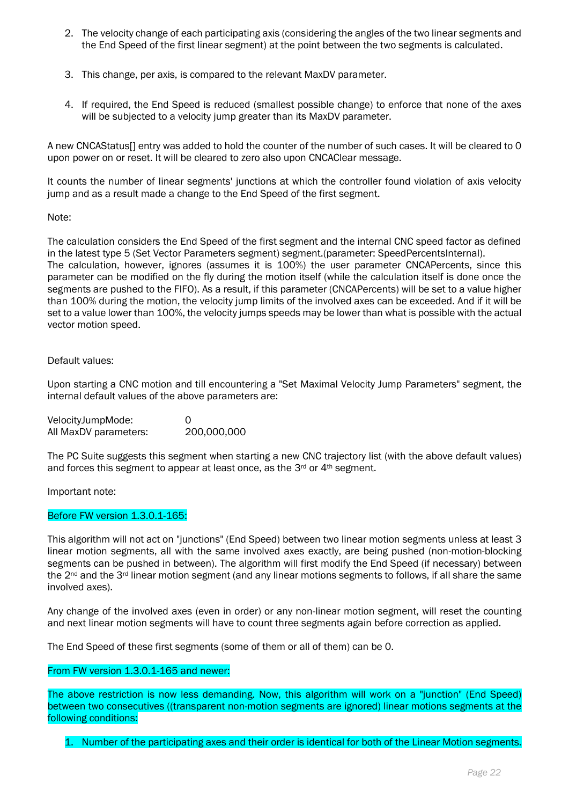- 2. The velocity change of each participating axis (considering the angles of the two linear segments and the End Speed of the first linear segment) at the point between the two segments is calculated.
- 3. This change, per axis, is compared to the relevant MaxDV parameter.
- 4. If required, the End Speed is reduced (smallest possible change) to enforce that none of the axes will be subjected to a velocity jump greater than its MaxDV parameter.

A new CNCAStatus[] entry was added to hold the counter of the number of such cases. It will be cleared to 0 upon power on or reset. It will be cleared to zero also upon CNCAClear message.

It counts the number of linear segments' junctions at which the controller found violation of axis velocity jump and as a result made a change to the End Speed of the first segment.

#### Note:

The calculation considers the End Speed of the first segment and the internal CNC speed factor as defined in the latest type 5 (Set Vector Parameters segment) segment.(parameter: SpeedPercentsInternal). The calculation, however, ignores (assumes it is 100%) the user parameter CNCAPercents, since this parameter can be modified on the fly during the motion itself (while the calculation itself is done once the segments are pushed to the FIFO). As a result, if this parameter (CNCAPercents) will be set to a value higher than 100% during the motion, the velocity jump limits of the involved axes can be exceeded. And if it will be set to a value lower than 100%, the velocity jumps speeds may be lower than what is possible with the actual vector motion speed.

#### Default values:

Upon starting a CNC motion and till encountering a "Set Maximal Velocity Jump Parameters" segment, the internal default values of the above parameters are:

VelocityJumpMode: 0 All MaxDV parameters: 200,000,000

The PC Suite suggests this segment when starting a new CNC trajectory list (with the above default values) and forces this segment to appear at least once, as the 3<sup>rd</sup> or 4<sup>th</sup> segment.

Important note:

#### Before FW version 1.3.0.1-165:

This algorithm will not act on "junctions" (End Speed) between two linear motion segments unless at least 3 linear motion segments, all with the same involved axes exactly, are being pushed (non-motion-blocking segments can be pushed in between). The algorithm will first modify the End Speed (if necessary) between the 2<sup>nd</sup> and the 3<sup>rd</sup> linear motion segment (and any linear motions segments to follows, if all share the same involved axes).

Any change of the involved axes (even in order) or any non-linear motion segment, will reset the counting and next linear motion segments will have to count three segments again before correction as applied.

The End Speed of these first segments (some of them or all of them) can be 0.

#### From FW version 1.3.0.1-165 and newer:

The above restriction is now less demanding. Now, this algorithm will work on a "junction" (End Speed) between two consecutives ((transparent non-motion segments are ignored) linear motions segments at the following conditions:

1. Number of the participating axes and their order is identical for both of the Linear Motion segments.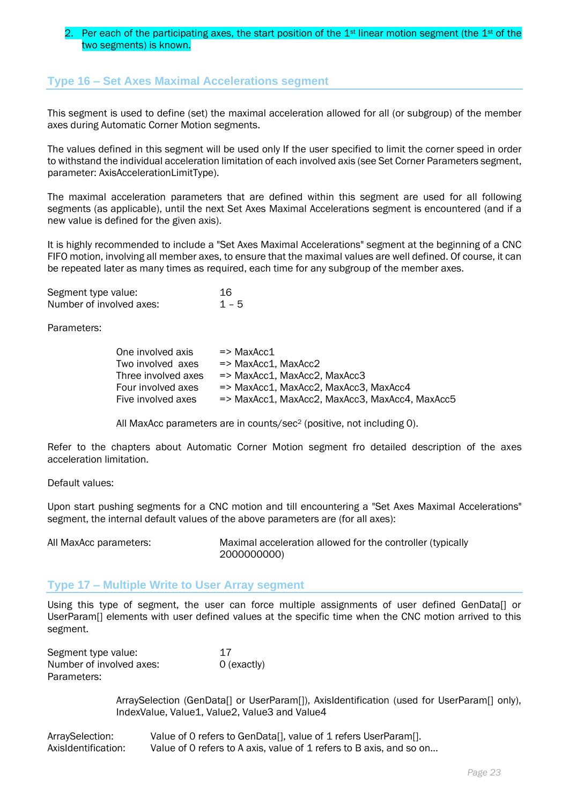### Per each of the participating axes, the start position of the  $1st$  linear motion segment (the  $1st$  of the two segments) is known.

## **Type 16 – Set Axes Maximal Accelerations segment**

This segment is used to define (set) the maximal acceleration allowed for all (or subgroup) of the member axes during Automatic Corner Motion segments.

The values defined in this segment will be used only If the user specified to limit the corner speed in order to withstand the individual acceleration limitation of each involved axis (see Set Corner Parameters segment, parameter: AxisAccelerationLimitType).

The maximal acceleration parameters that are defined within this segment are used for all following segments (as applicable), until the next Set Axes Maximal Accelerations segment is encountered (and if a new value is defined for the given axis).

It is highly recommended to include a "Set Axes Maximal Accelerations" segment at the beginning of a CNC FIFO motion, involving all member axes, to ensure that the maximal values are well defined. Of course, it can be repeated later as many times as required, each time for any subgroup of the member axes.

| Segment type value:      | 16      |
|--------------------------|---------|
| Number of involved axes: | $1 - 5$ |

Parameters:

| One involved axis   | $\Rightarrow$ MaxAcc1                            |
|---------------------|--------------------------------------------------|
| Two involved axes   | $\Rightarrow$ MaxAcc1, MaxAcc2                   |
| Three involved axes | $\Rightarrow$ MaxAcc1, MaxAcc2, MaxAcc3          |
| Four involved axes  | $\Rightarrow$ MaxAcc1, MaxAcc2, MaxAcc3, MaxAcc4 |
| Five involved axes  | => MaxAcc1, MaxAcc2, MaxAcc3, MaxAcc4, MaxAcc5   |

All MaxAcc parameters are in counts/sec<sup>2</sup> (positive, not including 0).

Refer to the chapters about Automatic Corner Motion segment fro detailed description of the axes acceleration limitation.

Default values:

Upon start pushing segments for a CNC motion and till encountering a "Set Axes Maximal Accelerations" segment, the internal default values of the above parameters are (for all axes):

All MaxAcc parameters: Maximal acceleration allowed for the controller (typically 2000000000)

## **Type 17 – Multiple Write to User Array segment**

Using this type of segment, the user can force multiple assignments of user defined GenData[] or UserParam[] elements with user defined values at the specific time when the CNC motion arrived to this segment.

| Segment type value:      | 17          |
|--------------------------|-------------|
| Number of involved axes: | 0 (exactly) |
| Parameters:              |             |

ArraySelection (GenData[] or UserParam[]), AxisIdentification (used for UserParam[] only), IndexValue, Value1, Value2, Value3 and Value4

| ArraySelection:     | Value of 0 refers to GenData[], value of 1 refers UserParam[].      |
|---------------------|---------------------------------------------------------------------|
| AxisIdentification: | Value of 0 refers to A axis, value of 1 refers to B axis, and so on |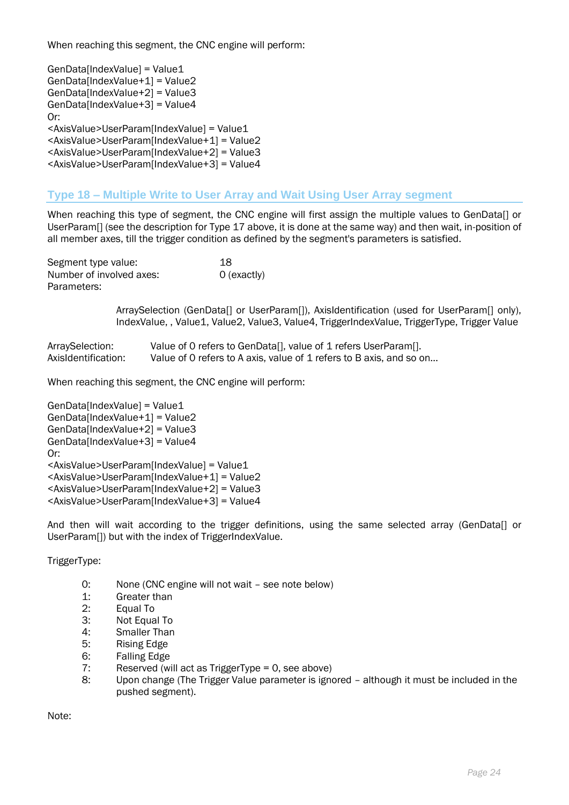When reaching this segment, the CNC engine will perform:

GenData[IndexValue] = Value1 GenData[IndexValue+1] = Value2 GenData[IndexValue+2] = Value3 GenData[IndexValue+3] = Value4 Or: <AxisValue>UserParam[IndexValue] = Value1 <AxisValue>UserParam[IndexValue+1] = Value2 <AxisValue>UserParam[IndexValue+2] = Value3 <AxisValue>UserParam[IndexValue+3] = Value4

## **Type 18 – Multiple Write to User Array and Wait Using User Array segment**

When reaching this type of segment, the CNC engine will first assign the multiple values to GenData[] or UserParam[] (see the description for Type 17 above, it is done at the same way) and then wait, in-position of all member axes, till the trigger condition as defined by the segment's parameters is satisfied.

Segment type value: 18 Number of involved axes: 0 (exactly) Parameters:

> ArraySelection (GenData[] or UserParam[]), AxisIdentification (used for UserParam[] only), IndexValue, , Value1, Value2, Value3, Value4, TriggerIndexValue, TriggerType, Trigger Value

| ArraySelection:     | Value of 0 refers to GenData[], value of 1 refers UserParam[].      |
|---------------------|---------------------------------------------------------------------|
| AxisIdentification: | Value of 0 refers to A axis, value of 1 refers to B axis, and so on |

When reaching this segment, the CNC engine will perform:

GenData[IndexValue] = Value1 GenData[IndexValue+1] = Value2 GenData[IndexValue+2] = Value3 GenData[IndexValue+3] = Value4 Or: <AxisValue>UserParam[IndexValue] = Value1 <AxisValue>UserParam[IndexValue+1] = Value2 <AxisValue>UserParam[IndexValue+2] = Value3 <AxisValue>UserParam[IndexValue+3] = Value4

And then will wait according to the trigger definitions, using the same selected array (GenData[] or UserParam[]) but with the index of TriggerIndexValue.

TriggerType:

- 0: None (CNC engine will not wait see note below)
- 1: Greater than
- 2: Equal To
- 3: Not Equal To
- 4: Smaller Than
- 5: Rising Edge
- 6: Falling Edge
- 7: Reserved (will act as TriggerType = 0, see above)
- 8: Upon change (The Trigger Value parameter is ignored although it must be included in the pushed segment).

Note: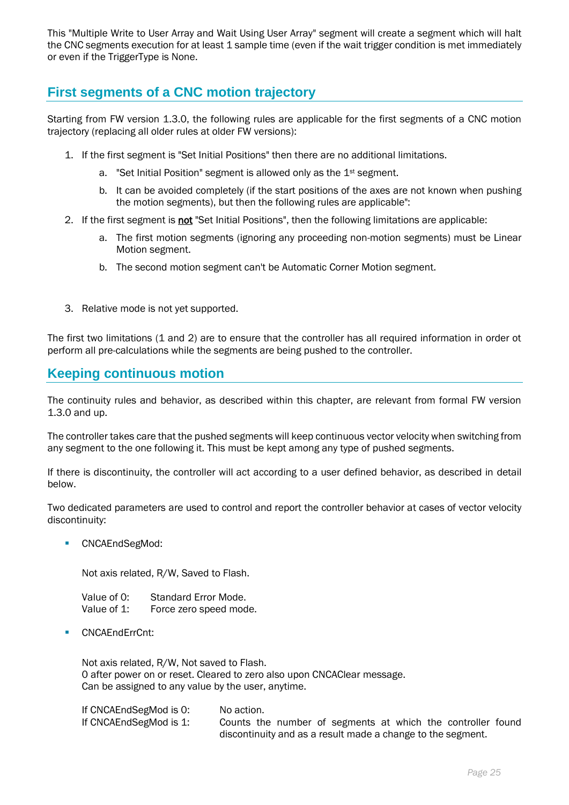This "Multiple Write to User Array and Wait Using User Array" segment will create a segment which will halt the CNC segments execution for at least 1 sample time (even if the wait trigger condition is met immediately or even if the TriggerType is None.

# **First segments of a CNC motion trajectory**

Starting from FW version 1.3.0, the following rules are applicable for the first segments of a CNC motion trajectory (replacing all older rules at older FW versions):

- 1. If the first segment is "Set Initial Positions" then there are no additional limitations.
	- a. "Set Initial Position" segment is allowed only as the 1st segment.
	- b. It can be avoided completely (if the start positions of the axes are not known when pushing the motion segments), but then the following rules are applicable":
- 2. If the first segment is not "Set Initial Positions", then the following limitations are applicable:
	- a. The first motion segments (ignoring any proceeding non-motion segments) must be Linear Motion segment.
	- b. The second motion segment can't be Automatic Corner Motion segment.
- 3. Relative mode is not yet supported.

The first two limitations (1 and 2) are to ensure that the controller has all required information in order ot perform all pre-calculations while the segments are being pushed to the controller.

# **Keeping continuous motion**

The continuity rules and behavior, as described within this chapter, are relevant from formal FW version 1.3.0 and up.

The controller takes care that the pushed segments will keep continuous vector velocity when switching from any segment to the one following it. This must be kept among any type of pushed segments.

If there is discontinuity, the controller will act according to a user defined behavior, as described in detail below.

Two dedicated parameters are used to control and report the controller behavior at cases of vector velocity discontinuity:

■ CNCAEndSegMod:

Not axis related, R/W, Saved to Flash.

| Value of 0: | Standard Error Mode.   |
|-------------|------------------------|
| Value of 1: | Force zero speed mode. |

■ CNCAEndErrCnt:

Not axis related, R/W, Not saved to Flash. 0 after power on or reset. Cleared to zero also upon CNCAClear message. Can be assigned to any value by the user, anytime.

| If CNCAEndSegMod is 0: | No action. |  |                                                             |  |  |  |
|------------------------|------------|--|-------------------------------------------------------------|--|--|--|
| If CNCAEndSegMod is 1: |            |  | Counts the number of segments at which the controller found |  |  |  |
|                        |            |  | discontinuity and as a result made a change to the segment. |  |  |  |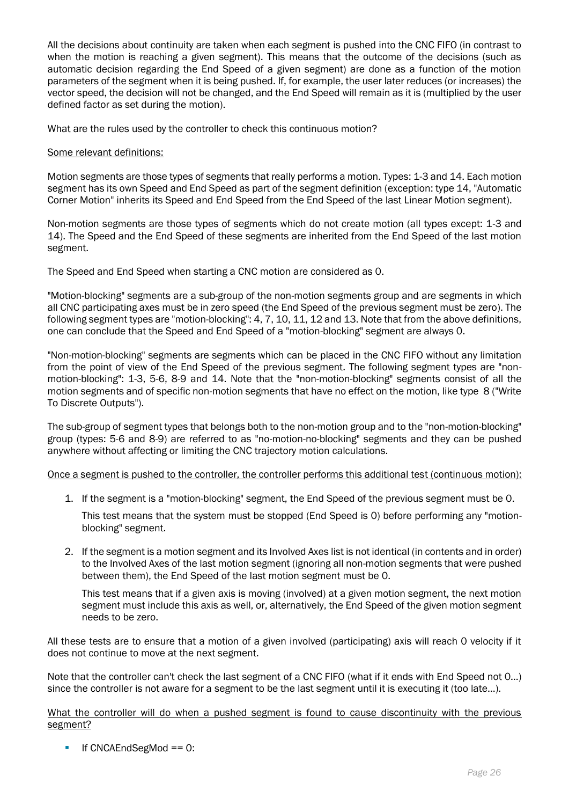All the decisions about continuity are taken when each segment is pushed into the CNC FIFO (in contrast to when the motion is reaching a given segment). This means that the outcome of the decisions (such as automatic decision regarding the End Speed of a given segment) are done as a function of the motion parameters of the segment when it is being pushed. If, for example, the user later reduces (or increases) the vector speed, the decision will not be changed, and the End Speed will remain as it is (multiplied by the user defined factor as set during the motion).

What are the rules used by the controller to check this continuous motion?

#### Some relevant definitions:

Motion segments are those types of segments that really performs a motion. Types: 1-3 and 14. Each motion segment has its own Speed and End Speed as part of the segment definition (exception: type 14, "Automatic Corner Motion" inherits its Speed and End Speed from the End Speed of the last Linear Motion segment).

Non-motion segments are those types of segments which do not create motion (all types except: 1-3 and 14). The Speed and the End Speed of these segments are inherited from the End Speed of the last motion segment.

The Speed and End Speed when starting a CNC motion are considered as 0.

"Motion-blocking" segments are a sub-group of the non-motion segments group and are segments in which all CNC participating axes must be in zero speed (the End Speed of the previous segment must be zero). The following segment types are "motion-blocking": 4, 7, 10, 11, 12 and 13. Note that from the above definitions, one can conclude that the Speed and End Speed of a "motion-blocking" segment are always 0.

"Non-motion-blocking" segments are segments which can be placed in the CNC FIFO without any limitation from the point of view of the End Speed of the previous segment. The following segment types are "nonmotion-blocking": 1-3, 5-6, 8-9 and 14. Note that the "non-motion-blocking" segments consist of all the motion segments and of specific non-motion segments that have no effect on the motion, like type 8 ("Write To Discrete Outputs").

The sub-group of segment types that belongs both to the non-motion group and to the "non-motion-blocking" group (types: 5-6 and 8-9) are referred to as "no-motion-no-blocking" segments and they can be pushed anywhere without affecting or limiting the CNC trajectory motion calculations.

Once a segment is pushed to the controller, the controller performs this additional test (continuous motion):

1. If the segment is a "motion-blocking" segment, the End Speed of the previous segment must be 0.

This test means that the system must be stopped (End Speed is 0) before performing any "motionblocking" segment.

2. If the segment is a motion segment and its Involved Axes list is not identical (in contents and in order) to the Involved Axes of the last motion segment (ignoring all non-motion segments that were pushed between them), the End Speed of the last motion segment must be 0.

This test means that if a given axis is moving (involved) at a given motion segment, the next motion segment must include this axis as well, or, alternatively, the End Speed of the given motion segment needs to be zero.

All these tests are to ensure that a motion of a given involved (participating) axis will reach 0 velocity if it does not continue to move at the next segment.

Note that the controller can't check the last segment of a CNC FIFO (what if it ends with End Speed not 0…) since the controller is not aware for a segment to be the last segment until it is executing it (too late…).

What the controller will do when a pushed segment is found to cause discontinuity with the previous segment?

If  $CNCAEndSeqMod == 0$ :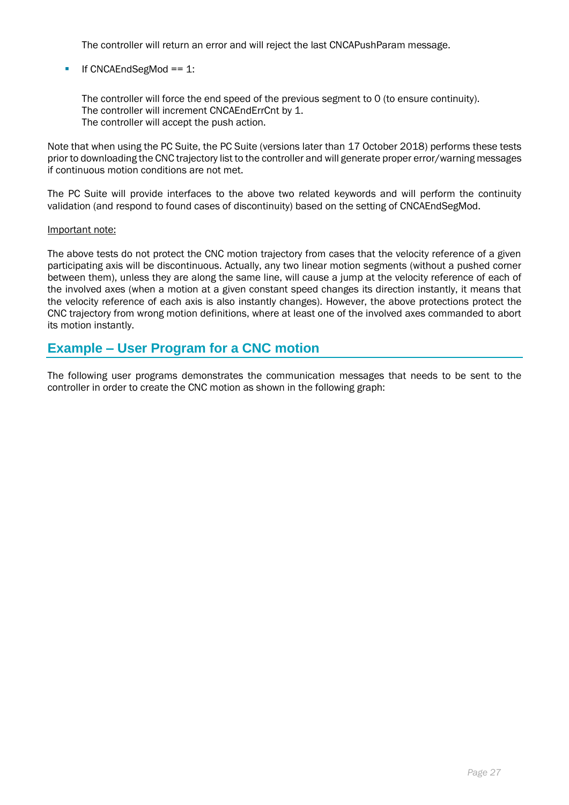The controller will return an error and will reject the last CNCAPushParam message.

### $\blacksquare$  If CNCAEndSegMod == 1:

The controller will force the end speed of the previous segment to 0 (to ensure continuity). The controller will increment CNCAEndErrCnt by 1. The controller will accept the push action.

Note that when using the PC Suite, the PC Suite (versions later than 17 October 2018) performs these tests prior to downloading the CNC trajectory list to the controller and will generate proper error/warning messages if continuous motion conditions are not met.

The PC Suite will provide interfaces to the above two related keywords and will perform the continuity validation (and respond to found cases of discontinuity) based on the setting of CNCAEndSegMod.

#### Important note:

The above tests do not protect the CNC motion trajectory from cases that the velocity reference of a given participating axis will be discontinuous. Actually, any two linear motion segments (without a pushed corner between them), unless they are along the same line, will cause a jump at the velocity reference of each of the involved axes (when a motion at a given constant speed changes its direction instantly, it means that the velocity reference of each axis is also instantly changes). However, the above protections protect the CNC trajectory from wrong motion definitions, where at least one of the involved axes commanded to abort its motion instantly.

# **Example – User Program for a CNC motion**

The following user programs demonstrates the communication messages that needs to be sent to the controller in order to create the CNC motion as shown in the following graph: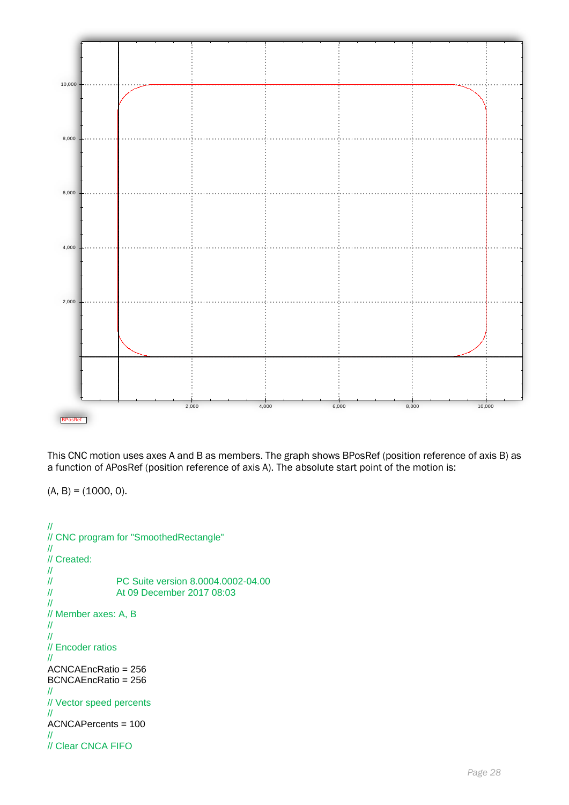

This CNC motion uses axes A and B as members. The graph shows BPosRef (position reference of axis B) as a function of APosRef (position reference of axis A). The absolute start point of the motion is:

 $(A, B) = (1000, 0).$ 

```
//
// CNC program for "SmoothedRectangle"
//
// Created:
\frac{\prime\prime}{\prime\prime}// PC Suite version 8.0004.0002-04.00<br>
At 09 December 2017 08:03
                  At 09 December 2017 08:03
//
// Member axes: A, B
//
//
// Encoder ratios
//
ACNCAEncRatio = 256
BCNCAEncRatio = 256
//
// Vector speed percents
//
ACNCAPercents = 100
//
// Clear CNCA FIFO
```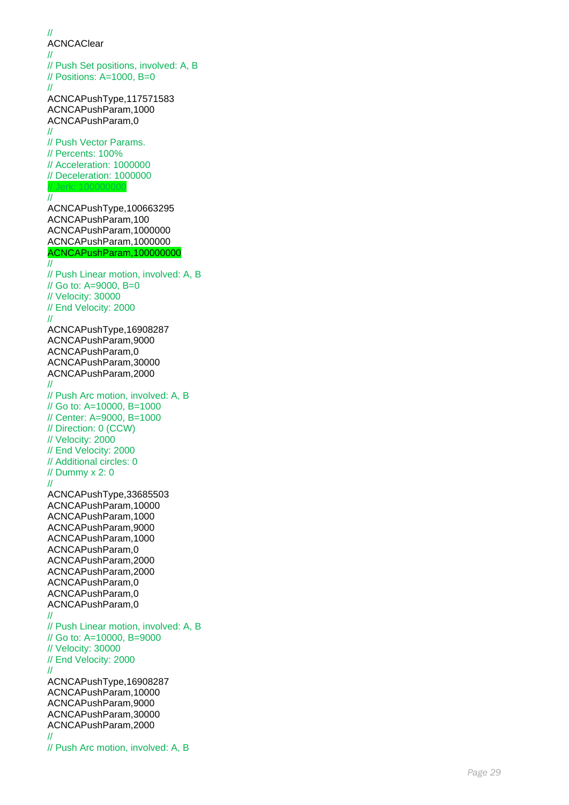// ACNCAClear // // Push Set positions, involved: A, B // Positions: A=1000, B=0 // ACNCAPushType,117571583 ACNCAPushParam,1000 ACNCAPushParam,0 // // Push Vector Params. // Percents: 100% // Acceleration: 1000000 // Deceleration: 1000000 // Jerk: 100000000 // ACNCAPushType,100663295 ACNCAPushParam,100 ACNCAPushParam,1000000 ACNCAPushParam,1000000 ACNCAPushParam,100000000  $\overline{''}$ // Push Linear motion, involved: A, B // Go to: A=9000, B=0 // Velocity: 30000 // End Velocity: 2000 // ACNCAPushType,16908287 ACNCAPushParam,9000 ACNCAPushParam,0 ACNCAPushParam,30000 ACNCAPushParam,2000 // // Push Arc motion, involved: A, B // Go to: A=10000, B=1000 // Center: A=9000, B=1000 // Direction: 0 (CCW) // Velocity: 2000 // End Velocity: 2000 // Additional circles: 0 // Dummy x 2: 0 // ACNCAPushType,33685503 ACNCAPushParam,10000 ACNCAPushParam,1000 ACNCAPushParam,9000 ACNCAPushParam,1000 ACNCAPushParam,0 ACNCAPushParam,2000 ACNCAPushParam,2000 ACNCAPushParam,0 ACNCAPushParam,0 ACNCAPushParam,0 // // Push Linear motion, involved: A, B // Go to: A=10000, B=9000 // Velocity: 30000 // End Velocity: 2000 // ACNCAPushType,16908287 ACNCAPushParam,10000 ACNCAPushParam,9000 ACNCAPushParam,30000 ACNCAPushParam,2000 // // Push Arc motion, involved: A, B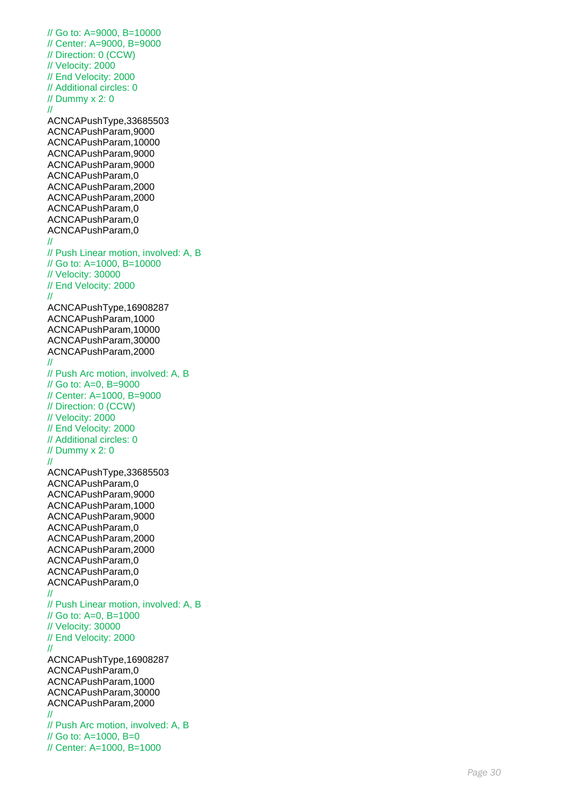// Go to: A=9000, B=10000 // Center: A=9000, B=9000 // Direction: 0 (CCW) // Velocity: 2000 // End Velocity: 2000 // Additional circles: 0 // Dummy x 2: 0 // ACNCAPushType,33685503 ACNCAPushParam,9000 ACNCAPushParam,10000 ACNCAPushParam,9000 ACNCAPushParam,9000 ACNCAPushParam,0 ACNCAPushParam,2000 ACNCAPushParam,2000 ACNCAPushParam,0 ACNCAPushParam,0 ACNCAPushParam,0 // // Push Linear motion, involved: A, B // Go to: A=1000, B=10000 // Velocity: 30000 // End Velocity: 2000 // ACNCAPushType,16908287 ACNCAPushParam,1000 ACNCAPushParam,10000 ACNCAPushParam,30000 ACNCAPushParam,2000 // // Push Arc motion, involved: A, B // Go to: A=0, B=9000 // Center: A=1000, B=9000 // Direction: 0 (CCW) // Velocity: 2000 // End Velocity: 2000 // Additional circles: 0 // Dummy x 2: 0 // ACNCAPushType,33685503 ACNCAPushParam,0 ACNCAPushParam,9000 ACNCAPushParam,1000 ACNCAPushParam,9000 ACNCAPushParam,0 ACNCAPushParam,2000 ACNCAPushParam,2000 ACNCAPushParam,0 ACNCAPushParam,0 ACNCAPushParam,0 // // Push Linear motion, involved: A, B // Go to: A=0, B=1000 // Velocity: 30000 // End Velocity: 2000 // ACNCAPushType,16908287 ACNCAPushParam,0 ACNCAPushParam,1000 ACNCAPushParam,30000 ACNCAPushParam,2000 // // Push Arc motion, involved: A, B // Go to: A=1000, B=0 // Center: A=1000, B=1000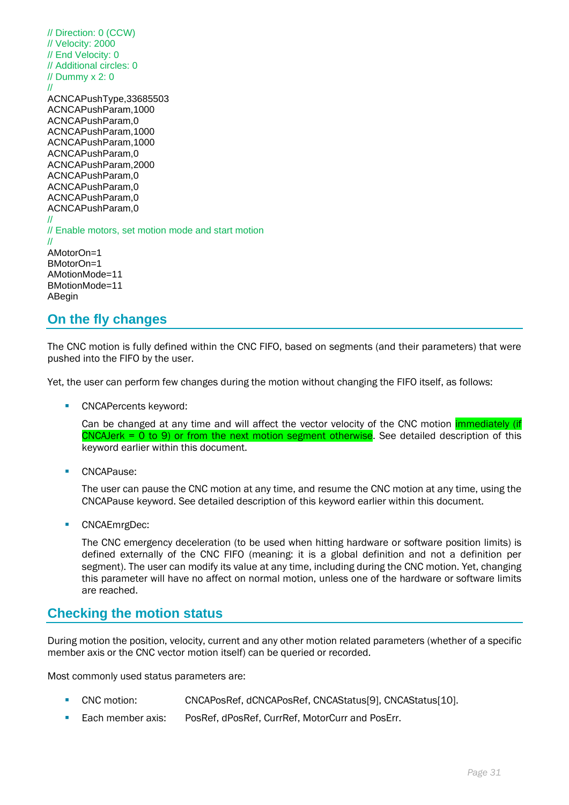

# **On the fly changes**

The CNC motion is fully defined within the CNC FIFO, based on segments (and their parameters) that were pushed into the FIFO by the user.

Yet, the user can perform few changes during the motion without changing the FIFO itself, as follows:

CNCAPercents keyword:

Can be changed at any time and will affect the vector velocity of the CNC motion *immediately (if* CNCAJerk = 0 to 9) or from the next motion segment otherwise. See detailed description of this keyword earlier within this document.

■ CNCAPause:

The user can pause the CNC motion at any time, and resume the CNC motion at any time, using the CNCAPause keyword. See detailed description of this keyword earlier within this document.

■ CNCAEmrgDec:

The CNC emergency deceleration (to be used when hitting hardware or software position limits) is defined externally of the CNC FIFO (meaning: it is a global definition and not a definition per segment). The user can modify its value at any time, including during the CNC motion. Yet, changing this parameter will have no affect on normal motion, unless one of the hardware or software limits are reached.

## **Checking the motion status**

During motion the position, velocity, current and any other motion related parameters (whether of a specific member axis or the CNC vector motion itself) can be queried or recorded.

Most commonly used status parameters are:

- CNC motion: CNCAPosRef, dCNCAPosRef, CNCAStatus[9], CNCAStatus[10].
- Each member axis: PosRef, dPosRef, CurrRef, MotorCurr and PosErr.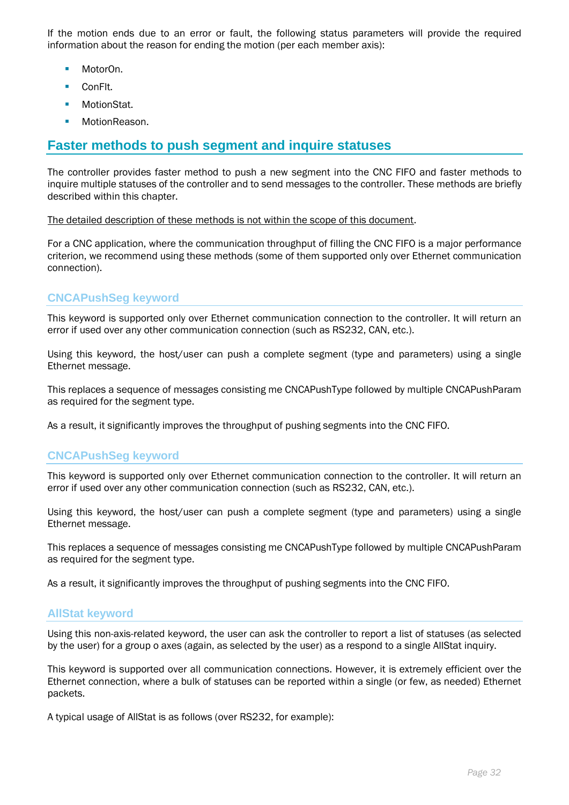If the motion ends due to an error or fault, the following status parameters will provide the required information about the reason for ending the motion (per each member axis):

- MotorOn.
- ConFlt.
- MotionStat.
- MotionReason.

# **Faster methods to push segment and inquire statuses**

The controller provides faster method to push a new segment into the CNC FIFO and faster methods to inquire multiple statuses of the controller and to send messages to the controller. These methods are briefly described within this chapter.

The detailed description of these methods is not within the scope of this document.

For a CNC application, where the communication throughput of filling the CNC FIFO is a major performance criterion, we recommend using these methods (some of them supported only over Ethernet communication connection).

## **CNCAPushSeg keyword**

This keyword is supported only over Ethernet communication connection to the controller. It will return an error if used over any other communication connection (such as RS232, CAN, etc.).

Using this keyword, the host/user can push a complete segment (type and parameters) using a single Ethernet message.

This replaces a sequence of messages consisting me CNCAPushType followed by multiple CNCAPushParam as required for the segment type.

As a result, it significantly improves the throughput of pushing segments into the CNC FIFO.

## **CNCAPushSeg keyword**

This keyword is supported only over Ethernet communication connection to the controller. It will return an error if used over any other communication connection (such as RS232, CAN, etc.).

Using this keyword, the host/user can push a complete segment (type and parameters) using a single Ethernet message.

This replaces a sequence of messages consisting me CNCAPushType followed by multiple CNCAPushParam as required for the segment type.

As a result, it significantly improves the throughput of pushing segments into the CNC FIFO.

## **AllStat keyword**

Using this non-axis-related keyword, the user can ask the controller to report a list of statuses (as selected by the user) for a group o axes (again, as selected by the user) as a respond to a single AllStat inquiry.

This keyword is supported over all communication connections. However, it is extremely efficient over the Ethernet connection, where a bulk of statuses can be reported within a single (or few, as needed) Ethernet packets.

A typical usage of AllStat is as follows (over RS232, for example):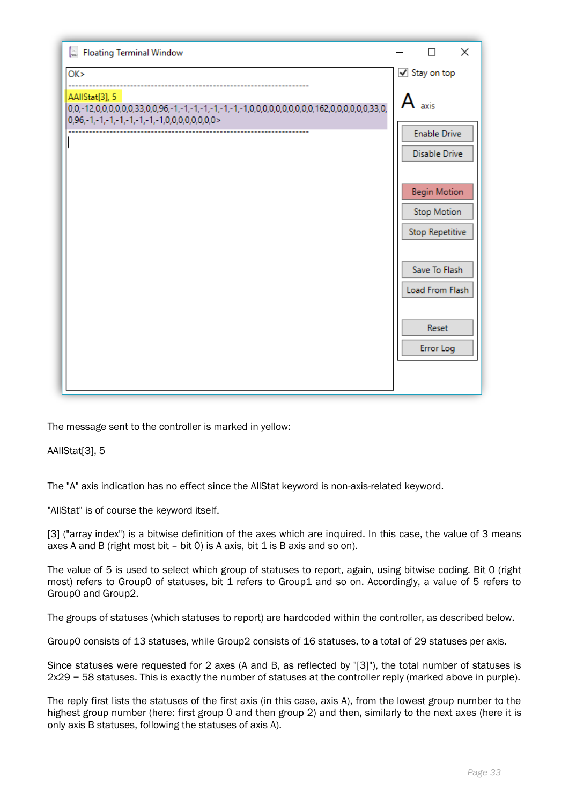

The message sent to the controller is marked in yellow:

AAllStat[3], 5

The "A" axis indication has no effect since the AllStat keyword is non-axis-related keyword.

"AllStat" is of course the keyword itself.

[3] ("array index") is a bitwise definition of the axes which are inquired. In this case, the value of 3 means axes A and B (right most bit – bit 0) is A axis, bit 1 is B axis and so on).

The value of 5 is used to select which group of statuses to report, again, using bitwise coding. Bit 0 (right most) refers to Group0 of statuses, bit 1 refers to Group1 and so on. Accordingly, a value of 5 refers to Group0 and Group2.

The groups of statuses (which statuses to report) are hardcoded within the controller, as described below.

Group0 consists of 13 statuses, while Group2 consists of 16 statuses, to a total of 29 statuses per axis.

Since statuses were requested for 2 axes (A and B, as reflected by "[3]"), the total number of statuses is 2x29 = 58 statuses. This is exactly the number of statuses at the controller reply (marked above in purple).

The reply first lists the statuses of the first axis (in this case, axis A), from the lowest group number to the highest group number (here: first group 0 and then group 2) and then, similarly to the next axes (here it is only axis B statuses, following the statuses of axis A).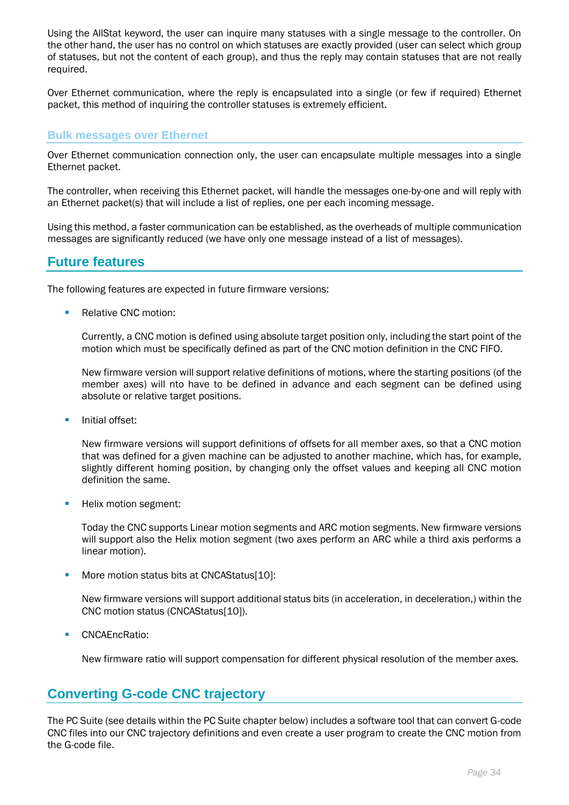Using the AllStat keyword, the user can inquire many statuses with a single message to the controller. On the other hand, the user has no control on which statuses are exactly provided (user can select which group of statuses, but not the content of each group), and thus the reply may contain statuses that are not really required.

Over Ethernet communication, where the reply is encapsulated into a single (or few if required) Ethernet packet, this method of inquiring the controller statuses is extremely efficient.

### **Bulk messages over Ethernet**

Over Ethernet communication connection only, the user can encapsulate multiple messages into a single Ethernet packet.

The controller, when receiving this Ethernet packet, will handle the messages one-by-one and will reply with an Ethernet packet(s) that will include a list of replies, one per each incoming message.

Using this method, a faster communication can be established, as the overheads of multiple communication messages are significantly reduced (we have only one message instead of a list of messages).

# **Future features**

The following features are expected in future firmware versions:

■ Relative CNC motion:

Currently, a CNC motion is defined using absolute target position only, including the start point of the motion which must be specifically defined as part of the CNC motion definition in the CNC FIFO.

New firmware version will support relative definitions of motions, where the starting positions (of the member axes) will nto have to be defined in advance and each segment can be defined using absolute or relative target positions.

■ Initial offset:

New firmware versions will support definitions of offsets for all member axes, so that a CNC motion that was defined for a given machine can be adjusted to another machine, which has, for example, slightly different homing position, by changing only the offset values and keeping all CNC motion definition the same.

■ Helix motion segment:

Today the CNC supports Linear motion segments and ARC motion segments. New firmware versions will support also the Helix motion segment (two axes perform an ARC while a third axis performs a linear motion).

■ More motion status bits at CNCAStatus[10]:

New firmware versions will support additional status bits (in acceleration, in deceleration,) within the CNC motion status (CNCAStatus[10]).

■ CNCAEncRatio:

New firmware ratio will support compensation for different physical resolution of the member axes.

## **Converting G-code CNC trajectory**

The PC Suite (see details within the PC Suite chapter below) includes a software tool that can convert G-code CNC files into our CNC trajectory definitions and even create a user program to create the CNC motion from the G-code file.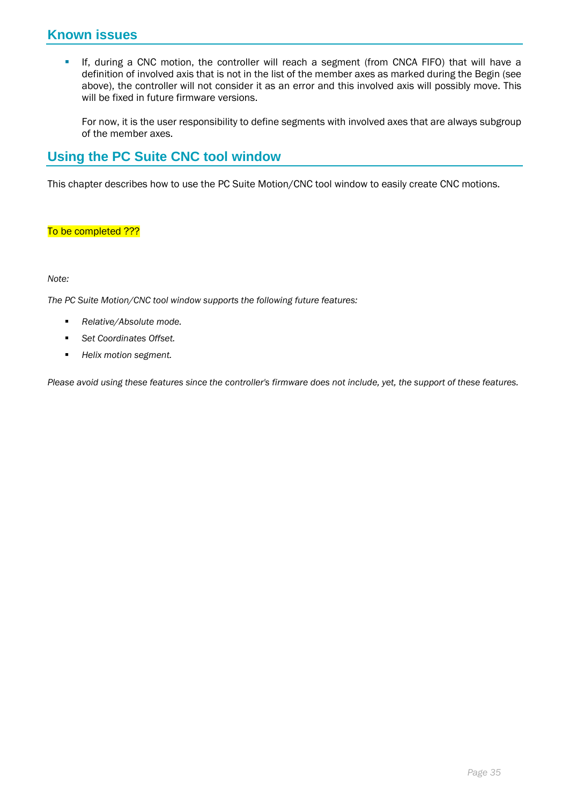# **Known issues**

**.** If, during a CNC motion, the controller will reach a segment (from CNCA FIFO) that will have a definition of involved axis that is not in the list of the member axes as marked during the Begin (see above), the controller will not consider it as an error and this involved axis will possibly move. This will be fixed in future firmware versions.

For now, it is the user responsibility to define segments with involved axes that are always subgroup of the member axes.

# **Using the PC Suite CNC tool window**

This chapter describes how to use the PC Suite Motion/CNC tool window to easily create CNC motions.

## To be completed ???

#### *Note:*

*The PC Suite Motion/CNC tool window supports the following future features:*

- *Relative/Absolute mode.*
- Set Coordinates Offset.
- *Helix motion segment.*

*Please avoid using these features since the controller's firmware does not include, yet, the support of these features.*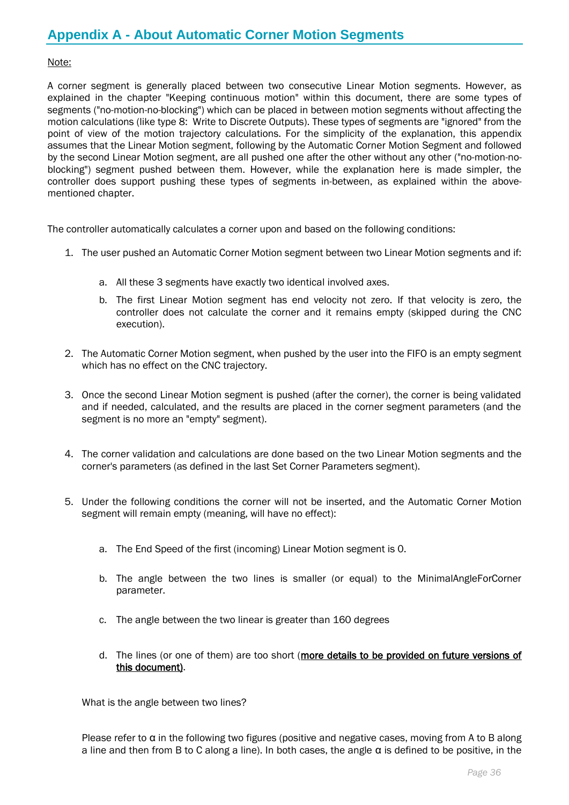#### Note:

A corner segment is generally placed between two consecutive Linear Motion segments. However, as explained in the chapter "Keeping continuous motion" within this document, there are some types of segments ("no-motion-no-blocking") which can be placed in between motion segments without affecting the motion calculations (like type 8: Write to Discrete Outputs). These types of segments are "ignored" from the point of view of the motion trajectory calculations. For the simplicity of the explanation, this appendix assumes that the Linear Motion segment, following by the Automatic Corner Motion Segment and followed by the second Linear Motion segment, are all pushed one after the other without any other ("no-motion-noblocking") segment pushed between them. However, while the explanation here is made simpler, the controller does support pushing these types of segments in-between, as explained within the abovementioned chapter.

The controller automatically calculates a corner upon and based on the following conditions:

- 1. The user pushed an Automatic Corner Motion segment between two Linear Motion segments and if:
	- a. All these 3 segments have exactly two identical involved axes.
	- b. The first Linear Motion segment has end velocity not zero. If that velocity is zero, the controller does not calculate the corner and it remains empty (skipped during the CNC execution).
- 2. The Automatic Corner Motion segment, when pushed by the user into the FIFO is an empty segment which has no effect on the CNC trajectory.
- 3. Once the second Linear Motion segment is pushed (after the corner), the corner is being validated and if needed, calculated, and the results are placed in the corner segment parameters (and the segment is no more an "empty" segment).
- 4. The corner validation and calculations are done based on the two Linear Motion segments and the corner's parameters (as defined in the last Set Corner Parameters segment).
- 5. Under the following conditions the corner will not be inserted, and the Automatic Corner Motion segment will remain empty (meaning, will have no effect):
	- a. The End Speed of the first (incoming) Linear Motion segment is 0.
	- b. The angle between the two lines is smaller (or equal) to the MinimalAngleForCorner parameter.
	- c. The angle between the two linear is greater than 160 degrees
	- d. The lines (or one of them) are too short (more details to be provided on future versions of this document).

What is the angle between two lines?

Please refer to  $\alpha$  in the following two figures (positive and negative cases, moving from A to B along a line and then from B to C along a line). In both cases, the angle  $\alpha$  is defined to be positive, in the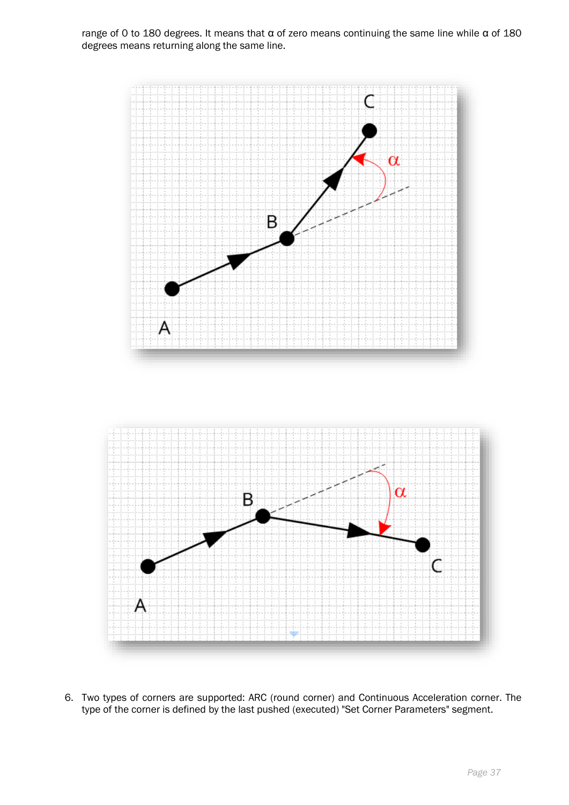

6. Two types of corners are supported: ARC (round corner) and Continuous Acceleration corner. The type of the corner is defined by the last pushed (executed) "Set Corner Parameters" segment.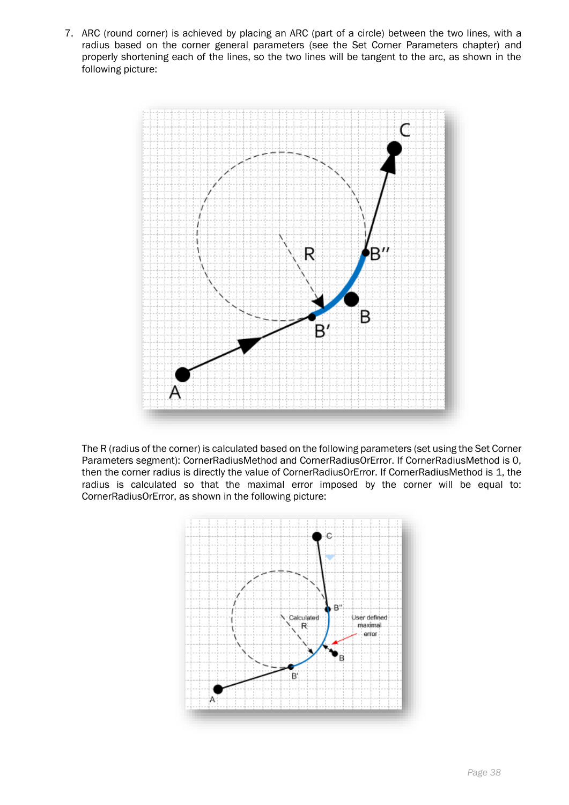7. ARC (round corner) is achieved by placing an ARC (part of a circle) between the two lines, with a radius based on the corner general parameters (see the Set Corner Parameters chapter) and properly shortening each of the lines, so the two lines will be tangent to the arc, as shown in the following picture:



The R (radius of the corner) is calculated based on the following parameters (set using the Set Corner Parameters segment): CornerRadiusMethod and CornerRadiusOrError. If CornerRadiusMethod is 0, then the corner radius is directly the value of CornerRadiusOrError. If CornerRadiusMethod is 1, the radius is calculated so that the maximal error imposed by the corner will be equal to: CornerRadiusOrError, as shown in the following picture:

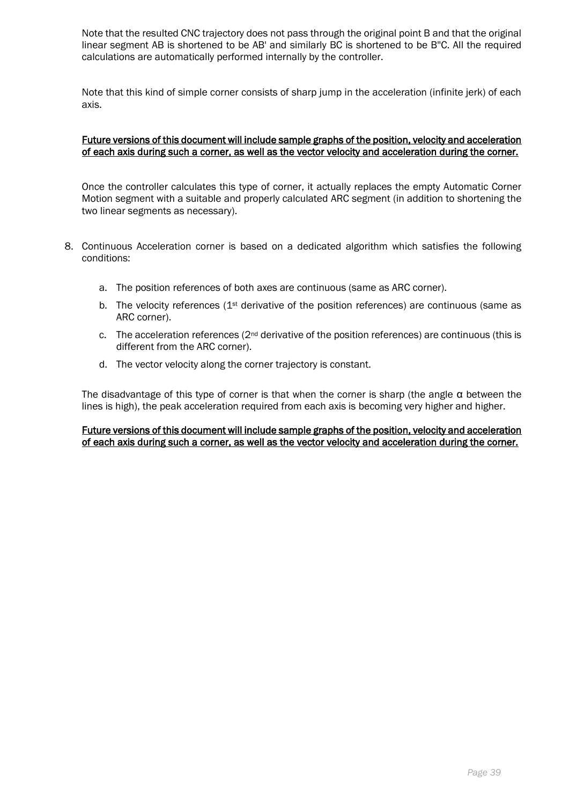Note that the resulted CNC trajectory does not pass through the original point B and that the original linear segment AB is shortened to be AB' and similarly BC is shortened to be B''C. All the required calculations are automatically performed internally by the controller.

Note that this kind of simple corner consists of sharp jump in the acceleration (infinite jerk) of each axis.

#### Future versions of this document will include sample graphs of the position, velocity and acceleration of each axis during such a corner, as well as the vector velocity and acceleration during the corner.

Once the controller calculates this type of corner, it actually replaces the empty Automatic Corner Motion segment with a suitable and properly calculated ARC segment (in addition to shortening the two linear segments as necessary).

- 8. Continuous Acceleration corner is based on a dedicated algorithm which satisfies the following conditions:
	- a. The position references of both axes are continuous (same as ARC corner).
	- b. The velocity references ( $1<sup>st</sup>$  derivative of the position references) are continuous (same as ARC corner).
	- c. The acceleration references  $(2<sup>nd</sup>$  derivative of the position references) are continuous (this is different from the ARC corner).
	- d. The vector velocity along the corner trajectory is constant.

The disadvantage of this type of corner is that when the corner is sharp (the angle α between the lines is high), the peak acceleration required from each axis is becoming very higher and higher.

Future versions of this document will include sample graphs of the position, velocity and acceleration of each axis during such a corner, as well as the vector velocity and acceleration during the corner.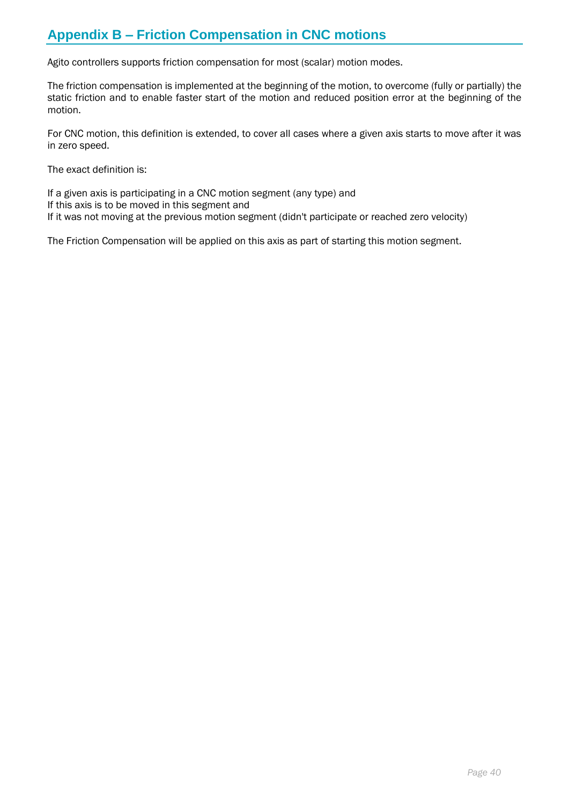# **Appendix B – Friction Compensation in CNC motions**

Agito controllers supports friction compensation for most (scalar) motion modes.

The friction compensation is implemented at the beginning of the motion, to overcome (fully or partially) the static friction and to enable faster start of the motion and reduced position error at the beginning of the motion.

For CNC motion, this definition is extended, to cover all cases where a given axis starts to move after it was in zero speed.

The exact definition is:

If a given axis is participating in a CNC motion segment (any type) and If this axis is to be moved in this segment and If it was not moving at the previous motion segment (didn't participate or reached zero velocity)

The Friction Compensation will be applied on this axis as part of starting this motion segment.